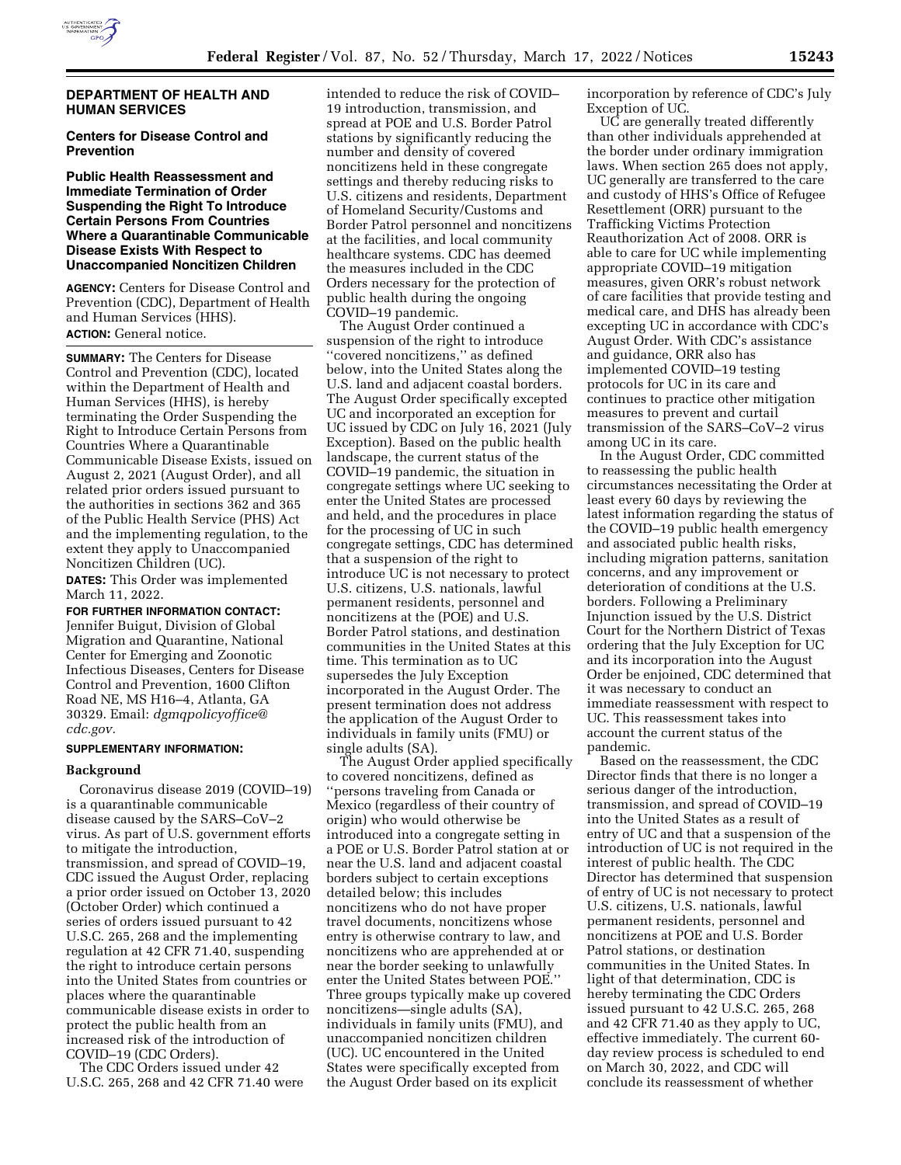

## **DEPARTMENT OF HEALTH AND HUMAN SERVICES**

# **Centers for Disease Control and Prevention**

# **Public Health Reassessment and Immediate Termination of Order Suspending the Right To Introduce Certain Persons From Countries Where a Quarantinable Communicable Disease Exists With Respect to Unaccompanied Noncitizen Children**

**AGENCY:** Centers for Disease Control and Prevention (CDC), Department of Health and Human Services (HHS). **ACTION:** General notice.

**SUMMARY:** The Centers for Disease Control and Prevention (CDC), located within the Department of Health and Human Services (HHS), is hereby terminating the Order Suspending the Right to Introduce Certain Persons from Countries Where a Quarantinable Communicable Disease Exists, issued on August 2, 2021 (August Order), and all related prior orders issued pursuant to the authorities in sections 362 and 365 of the Public Health Service (PHS) Act and the implementing regulation, to the extent they apply to Unaccompanied Noncitizen Children (UC).

**DATES:** This Order was implemented March 11, 2022.

**FOR FURTHER INFORMATION CONTACT:**  Jennifer Buigut, Division of Global Migration and Quarantine, National Center for Emerging and Zoonotic Infectious Diseases, Centers for Disease Control and Prevention, 1600 Clifton Road NE, MS H16–4, Atlanta, GA 30329. Email: *[dgmqpolicyoffice@](mailto:dgmqpolicyoffice@cdc.gov) [cdc.gov.](mailto:dgmqpolicyoffice@cdc.gov)* 

#### **SUPPLEMENTARY INFORMATION:**

### **Background**

Coronavirus disease 2019 (COVID–19) is a quarantinable communicable disease caused by the SARS–CoV–2 virus. As part of U.S. government efforts to mitigate the introduction, transmission, and spread of COVID–19, CDC issued the August Order, replacing a prior order issued on October 13, 2020 (October Order) which continued a series of orders issued pursuant to 42 U.S.C. 265, 268 and the implementing regulation at 42 CFR 71.40, suspending the right to introduce certain persons into the United States from countries or places where the quarantinable communicable disease exists in order to protect the public health from an increased risk of the introduction of COVID–19 (CDC Orders).

The CDC Orders issued under 42 U.S.C. 265, 268 and 42 CFR 71.40 were

intended to reduce the risk of COVID– 19 introduction, transmission, and spread at POE and U.S. Border Patrol stations by significantly reducing the number and density of covered noncitizens held in these congregate settings and thereby reducing risks to U.S. citizens and residents, Department of Homeland Security/Customs and Border Patrol personnel and noncitizens at the facilities, and local community healthcare systems. CDC has deemed the measures included in the CDC Orders necessary for the protection of public health during the ongoing COVID–19 pandemic.

The August Order continued a suspension of the right to introduce ''covered noncitizens,'' as defined below, into the United States along the U.S. land and adjacent coastal borders. The August Order specifically excepted UC and incorporated an exception for UC issued by CDC on July 16, 2021 (July Exception). Based on the public health landscape, the current status of the COVID–19 pandemic, the situation in congregate settings where UC seeking to enter the United States are processed and held, and the procedures in place for the processing of UC in such congregate settings, CDC has determined that a suspension of the right to introduce UC is not necessary to protect U.S. citizens, U.S. nationals, lawful permanent residents, personnel and noncitizens at the (POE) and U.S. Border Patrol stations, and destination communities in the United States at this time. This termination as to UC supersedes the July Exception incorporated in the August Order. The present termination does not address the application of the August Order to individuals in family units (FMU) or single adults (SA).

The August Order applied specifically to covered noncitizens, defined as ''persons traveling from Canada or Mexico (regardless of their country of origin) who would otherwise be introduced into a congregate setting in a POE or U.S. Border Patrol station at or near the U.S. land and adjacent coastal borders subject to certain exceptions detailed below; this includes noncitizens who do not have proper travel documents, noncitizens whose entry is otherwise contrary to law, and noncitizens who are apprehended at or near the border seeking to unlawfully enter the United States between POE.'' Three groups typically make up covered noncitizens—single adults (SA), individuals in family units (FMU), and unaccompanied noncitizen children (UC). UC encountered in the United States were specifically excepted from the August Order based on its explicit

incorporation by reference of CDC's July Exception of UC.

UC are generally treated differently than other individuals apprehended at the border under ordinary immigration laws. When section 265 does not apply, UC generally are transferred to the care and custody of HHS's Office of Refugee Resettlement (ORR) pursuant to the Trafficking Victims Protection Reauthorization Act of 2008. ORR is able to care for UC while implementing appropriate COVID–19 mitigation measures, given ORR's robust network of care facilities that provide testing and medical care, and DHS has already been excepting UC in accordance with CDC's August Order. With CDC's assistance and guidance, ORR also has implemented COVID–19 testing protocols for UC in its care and continues to practice other mitigation measures to prevent and curtail transmission of the SARS–CoV–2 virus among UC in its care.

In the August Order, CDC committed to reassessing the public health circumstances necessitating the Order at least every 60 days by reviewing the latest information regarding the status of the COVID–19 public health emergency and associated public health risks, including migration patterns, sanitation concerns, and any improvement or deterioration of conditions at the U.S. borders. Following a Preliminary Injunction issued by the U.S. District Court for the Northern District of Texas ordering that the July Exception for UC and its incorporation into the August Order be enjoined, CDC determined that it was necessary to conduct an immediate reassessment with respect to UC. This reassessment takes into account the current status of the pandemic.

Based on the reassessment, the CDC Director finds that there is no longer a serious danger of the introduction, transmission, and spread of COVID–19 into the United States as a result of entry of UC and that a suspension of the introduction of UC is not required in the interest of public health. The CDC Director has determined that suspension of entry of UC is not necessary to protect U.S. citizens, U.S. nationals, lawful permanent residents, personnel and noncitizens at POE and U.S. Border Patrol stations, or destination communities in the United States. In light of that determination, CDC is hereby terminating the CDC Orders issued pursuant to 42 U.S.C. 265, 268 and 42 CFR 71.40 as they apply to UC, effective immediately. The current 60 day review process is scheduled to end on March 30, 2022, and CDC will conclude its reassessment of whether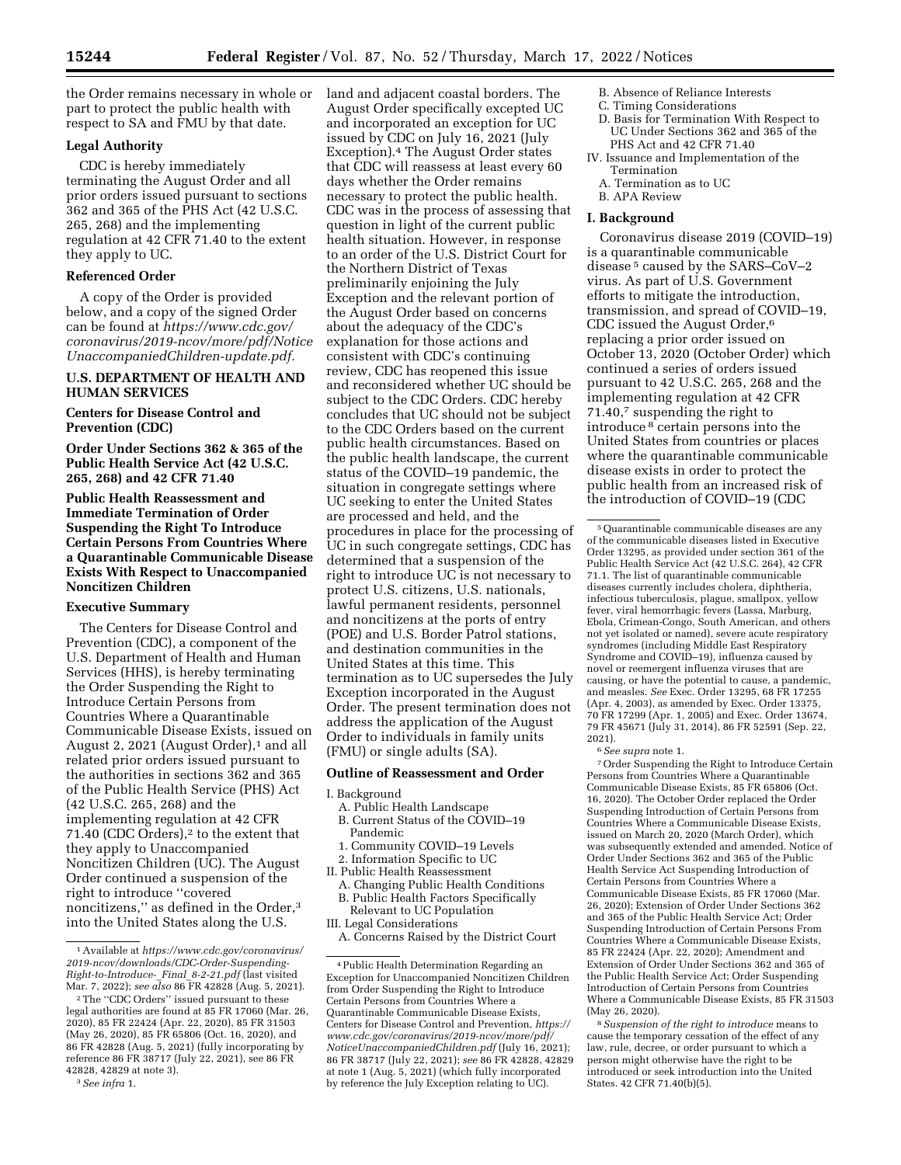the Order remains necessary in whole or part to protect the public health with respect to SA and FMU by that date.

## **Legal Authority**

CDC is hereby immediately terminating the August Order and all prior orders issued pursuant to sections 362 and 365 of the PHS Act (42 U.S.C. 265, 268) and the implementing regulation at 42 CFR 71.40 to the extent they apply to UC.

### **Referenced Order**

A copy of the Order is provided below, and a copy of the signed Order can be found at *[https://www.cdc.gov/](https://www.cdc.gov/coronavirus/2019-ncov/more/pdf/NoticeUnaccompaniedChildren-update.pdf) [coronavirus/2019-ncov/more/pdf/Notice](https://www.cdc.gov/coronavirus/2019-ncov/more/pdf/NoticeUnaccompaniedChildren-update.pdf) [UnaccompaniedChildren-update.pdf.](https://www.cdc.gov/coronavirus/2019-ncov/more/pdf/NoticeUnaccompaniedChildren-update.pdf)* 

# **U.S. DEPARTMENT OF HEALTH AND HUMAN SERVICES**

## **Centers for Disease Control and Prevention (CDC)**

**Order Under Sections 362 & 365 of the Public Health Service Act (42 U.S.C. 265, 268) and 42 CFR 71.40** 

**Public Health Reassessment and Immediate Termination of Order Suspending the Right To Introduce Certain Persons From Countries Where a Quarantinable Communicable Disease Exists With Respect to Unaccompanied Noncitizen Children** 

# **Executive Summary**

The Centers for Disease Control and Prevention (CDC), a component of the U.S. Department of Health and Human Services (HHS), is hereby terminating the Order Suspending the Right to Introduce Certain Persons from Countries Where a Quarantinable Communicable Disease Exists, issued on August 2, 2021 (August Order),<sup>1</sup> and all related prior orders issued pursuant to the authorities in sections 362 and 365 of the Public Health Service (PHS) Act (42 U.S.C. 265, 268) and the implementing regulation at 42 CFR 71.40 (CDC Orders),<sup>2</sup> to the extent that they apply to Unaccompanied Noncitizen Children (UC). The August Order continued a suspension of the right to introduce ''covered noncitizens," as defined in the Order,<sup>3</sup> into the United States along the U.S.

land and adjacent coastal borders. The August Order specifically excepted UC and incorporated an exception for UC issued by CDC on July 16, 2021 (July Exception).4 The August Order states that CDC will reassess at least every 60 days whether the Order remains necessary to protect the public health. CDC was in the process of assessing that question in light of the current public health situation. However, in response to an order of the U.S. District Court for the Northern District of Texas preliminarily enjoining the July Exception and the relevant portion of the August Order based on concerns about the adequacy of the CDC's explanation for those actions and consistent with CDC's continuing review, CDC has reopened this issue and reconsidered whether UC should be subject to the CDC Orders. CDC hereby concludes that UC should not be subject to the CDC Orders based on the current public health circumstances. Based on the public health landscape, the current status of the COVID–19 pandemic, the situation in congregate settings where UC seeking to enter the United States are processed and held, and the procedures in place for the processing of UC in such congregate settings, CDC has determined that a suspension of the right to introduce UC is not necessary to protect U.S. citizens, U.S. nationals, lawful permanent residents, personnel and noncitizens at the ports of entry (POE) and U.S. Border Patrol stations, and destination communities in the United States at this time. This termination as to UC supersedes the July Exception incorporated in the August Order. The present termination does not address the application of the August Order to individuals in family units (FMU) or single adults (SA).

### **Outline of Reassessment and Order**

#### I. Background

- A. Public Health Landscape B. Current Status of the COVID–19 Pandemic
- 1. Community COVID–19 Levels
- 2. Information Specific to UC
- II. Public Health Reassessment
- A. Changing Public Health Conditions B. Public Health Factors Specifically Relevant to UC Population
- III. Legal Considerations
- A. Concerns Raised by the District Court
- B. Absence of Reliance Interests
- C. Timing Considerations
- D. Basis for Termination With Respect to UC Under Sections 362 and 365 of the PHS Act and 42 CFR 71.40
- IV. Issuance and Implementation of the Termination
	- A. Termination as to UC
	- B. APA Review

# **I. Background**

Coronavirus disease 2019 (COVID–19) is a quarantinable communicable disease 5 caused by the SARS–CoV–2 virus. As part of U.S. Government efforts to mitigate the introduction, transmission, and spread of COVID–19, CDC issued the August Order,6 replacing a prior order issued on October 13, 2020 (October Order) which continued a series of orders issued pursuant to 42 U.S.C. 265, 268 and the implementing regulation at 42 CFR 71.40,7 suspending the right to introduce 8 certain persons into the United States from countries or places where the quarantinable communicable disease exists in order to protect the public health from an increased risk of the introduction of COVID–19 (CDC

6*See supra* note 1.

7Order Suspending the Right to Introduce Certain Persons from Countries Where a Quarantinable Communicable Disease Exists, 85 FR 65806 (Oct. 16, 2020). The October Order replaced the Order Suspending Introduction of Certain Persons from Countries Where a Communicable Disease Exists, issued on March 20, 2020 (March Order), which was subsequently extended and amended. Notice of Order Under Sections 362 and 365 of the Public Health Service Act Suspending Introduction of Certain Persons from Countries Where a Communicable Disease Exists, 85 FR 17060 (Mar. 26, 2020); Extension of Order Under Sections 362 and 365 of the Public Health Service Act; Order Suspending Introduction of Certain Persons From Countries Where a Communicable Disease Exists, 85 FR 22424 (Apr. 22, 2020); Amendment and Extension of Order Under Sections 362 and 365 of the Public Health Service Act; Order Suspending Introduction of Certain Persons from Countries Where a Communicable Disease Exists, 85 FR 31503 (May 26, 2020).

8*Suspension of the right to introduce* means to cause the temporary cessation of the effect of any law, rule, decree, or order pursuant to which a person might otherwise have the right to be introduced or seek introduction into the United States. 42 CFR 71.40(b)(5).

<sup>1</sup>Available at *[https://www.cdc.gov/coronavirus/](https://www.cdc.gov/coronavirus/2019-ncov/downloads/CDC-Order-Suspending-Right-to-Introduce-_Final_8-2-21.pdf) [2019-ncov/downloads/CDC-Order-Suspending-](https://www.cdc.gov/coronavirus/2019-ncov/downloads/CDC-Order-Suspending-Right-to-Introduce-_Final_8-2-21.pdf)[Right-to-Introduce-](https://www.cdc.gov/coronavirus/2019-ncov/downloads/CDC-Order-Suspending-Right-to-Introduce-_Final_8-2-21.pdf)*\_*Final*\_*8-2-21.pdf* (last visited Mar. 7, 2022); *see also* 86 FR 42828 (Aug. 5, 2021).

<sup>2</sup>The ''CDC Orders'' issued pursuant to these legal authorities are found at 85 FR 17060 (Mar. 26, 2020), 85 FR 22424 (Apr. 22, 2020), 85 FR 31503 (May 26, 2020), 85 FR 65806 (Oct. 16, 2020), and 86 FR 42828 (Aug. 5, 2021) (fully incorporating by reference 86 FR 38717 (July 22, 2021), see 86 FR 42828, 42829 at note 3).

<sup>3</sup>*See infra* 1.

<sup>4</sup>Public Health Determination Regarding an Exception for Unaccompanied Noncitizen Children from Order Suspending the Right to Introduce Certain Persons from Countries Where a Quarantinable Communicable Disease Exists, Centers for Disease Control and Prevention, *[https://](https://www.cdc.gov/coronavirus/2019-ncov/more/pdf/NoticeUnaccompaniedChildren.pdf)  [www.cdc.gov/coronavirus/2019-ncov/more/pdf/](https://www.cdc.gov/coronavirus/2019-ncov/more/pdf/NoticeUnaccompaniedChildren.pdf) [NoticeUnaccompaniedChildren.pdf](https://www.cdc.gov/coronavirus/2019-ncov/more/pdf/NoticeUnaccompaniedChildren.pdf)* (July 16, 2021); 86 FR 38717 (July 22, 2021); *see* 86 FR 42828, 42829 at note 1 (Aug. 5, 2021) (which fully incorporated by reference the July Exception relating to UC).

<sup>5</sup>Quarantinable communicable diseases are any of the communicable diseases listed in Executive Order 13295, as provided under section 361 of the Public Health Service Act (42 U.S.C. 264), 42 CFR 71.1. The list of quarantinable communicable diseases currently includes cholera, diphtheria, infectious tuberculosis, plague, smallpox, yellow fever, viral hemorrhagic fevers (Lassa, Marburg, Ebola, Crimean-Congo, South American, and others not yet isolated or named), severe acute respiratory syndromes (including Middle East Respiratory Syndrome and COVID–19), influenza caused by novel or reemergent influenza viruses that are causing, or have the potential to cause, a pandemic, and measles. *See* Exec. Order 13295, 68 FR 17255 (Apr. 4, 2003), as amended by Exec. Order 13375, 70 FR 17299 (Apr. 1, 2005) and Exec. Order 13674, 79 FR 45671 (July 31, 2014), 86 FR 52591 (Sep. 22, 2021).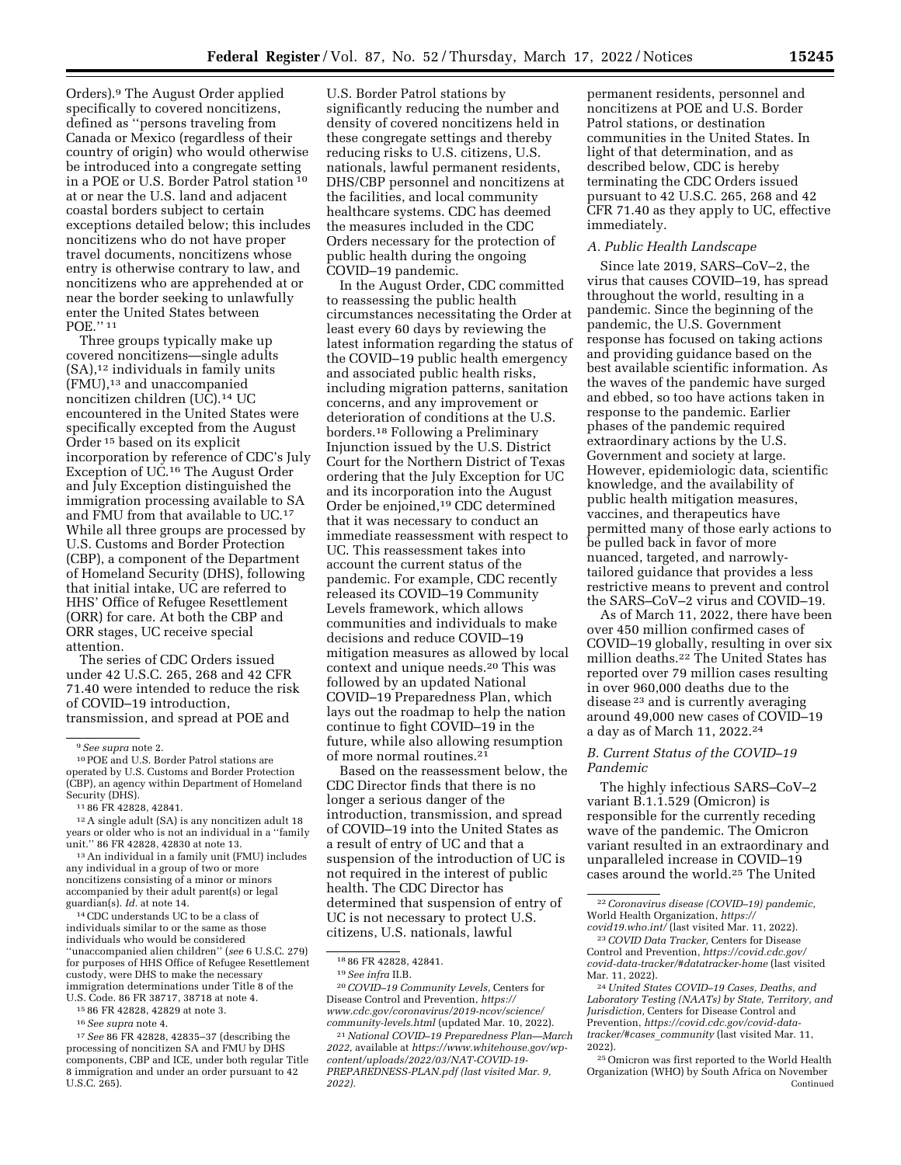Orders).9 The August Order applied specifically to covered noncitizens, defined as ''persons traveling from Canada or Mexico (regardless of their country of origin) who would otherwise be introduced into a congregate setting in a POE or U.S. Border Patrol station 10 at or near the U.S. land and adjacent coastal borders subject to certain exceptions detailed below; this includes noncitizens who do not have proper travel documents, noncitizens whose entry is otherwise contrary to law, and noncitizens who are apprehended at or near the border seeking to unlawfully enter the United States between POE.'' 11

Three groups typically make up covered noncitizens—single adults  $(SA)$ ,<sup>12</sup> individuals in family units (FMU),13 and unaccompanied noncitizen children (UC).14 UC encountered in the United States were specifically excepted from the August Order 15 based on its explicit incorporation by reference of CDC's July Exception of UC.<sup>16</sup> The August Order and July Exception distinguished the immigration processing available to SA and FMU from that available to UC.17 While all three groups are processed by U.S. Customs and Border Protection (CBP), a component of the Department of Homeland Security (DHS), following that initial intake, UC are referred to HHS' Office of Refugee Resettlement (ORR) for care. At both the CBP and ORR stages, UC receive special attention.

The series of CDC Orders issued under 42 U.S.C. 265, 268 and 42 CFR 71.40 were intended to reduce the risk of COVID–19 introduction, transmission, and spread at POE and

<sup>11</sup> 86 FR 42828, 42841.<br><sup>12</sup> A single adult (SA) is any noncitizen adult 18 years or older who is not an individual in a ''family

 $13$  An individual in a family unit (FMU) includes any individual in a group of two or more noncitizens consisting of a minor or minors accompanied by their adult parent(s) or legal guardian(s). *Id.* at note 14.

14CDC understands UC to be a class of individuals similar to or the same as those individuals who would be considered ''unaccompanied alien children'' (*see* 6 U.S.C. 279) for purposes of HHS Office of Refugee Resettlement custody, were DHS to make the necessary immigration determinations under Title 8 of the U.S. Code. 86 FR 38717, 38718 at note 4.

- 15 86 FR 42828, 42829 at note 3.
- 16*See supra* note 4.

17*See* 86 FR 42828, 42835–37 (describing the processing of noncitizen SA and FMU by DHS components, CBP and ICE, under both regular Title 8 immigration and under an order pursuant to 42 U.S.C. 265).

U.S. Border Patrol stations by significantly reducing the number and density of covered noncitizens held in these congregate settings and thereby reducing risks to U.S. citizens, U.S. nationals, lawful permanent residents, DHS/CBP personnel and noncitizens at the facilities, and local community healthcare systems. CDC has deemed the measures included in the CDC Orders necessary for the protection of public health during the ongoing COVID–19 pandemic.

In the August Order, CDC committed to reassessing the public health circumstances necessitating the Order at least every 60 days by reviewing the latest information regarding the status of the COVID–19 public health emergency and associated public health risks, including migration patterns, sanitation concerns, and any improvement or deterioration of conditions at the U.S. borders.18 Following a Preliminary Injunction issued by the U.S. District Court for the Northern District of Texas ordering that the July Exception for UC and its incorporation into the August Order be enjoined,19 CDC determined that it was necessary to conduct an immediate reassessment with respect to UC. This reassessment takes into account the current status of the pandemic. For example, CDC recently released its COVID–19 Community Levels framework, which allows communities and individuals to make decisions and reduce COVID–19 mitigation measures as allowed by local context and unique needs.20 This was followed by an updated National COVID–19 Preparedness Plan, which lays out the roadmap to help the nation continue to fight COVID–19 in the future, while also allowing resumption of more normal routines.21

Based on the reassessment below, the CDC Director finds that there is no longer a serious danger of the introduction, transmission, and spread of COVID–19 into the United States as a result of entry of UC and that a suspension of the introduction of UC is not required in the interest of public health. The CDC Director has determined that suspension of entry of UC is not necessary to protect U.S. citizens, U.S. nationals, lawful

20*COVID–19 Community Levels,* Centers for Disease Control and Prevention, *[https://](https://www.cdc.gov/coronavirus/2019-ncov/science/community-levels.html) [www.cdc.gov/coronavirus/2019-ncov/science/](https://www.cdc.gov/coronavirus/2019-ncov/science/community-levels.html)  [community-levels.html](https://www.cdc.gov/coronavirus/2019-ncov/science/community-levels.html)* (updated Mar. 10, 2022).

21*National COVID–19 Preparedness Plan—March 2022,* available at *[https://www.whitehouse.gov/wp](https://www.whitehouse.gov/wp-content/uploads/2022/03/NAT-COVID-19-PREPAREDNESS-PLAN.pdf)[content/uploads/2022/03/NAT-COVID-19-](https://www.whitehouse.gov/wp-content/uploads/2022/03/NAT-COVID-19-PREPAREDNESS-PLAN.pdf) [PREPAREDNESS-PLAN.pdf](https://www.whitehouse.gov/wp-content/uploads/2022/03/NAT-COVID-19-PREPAREDNESS-PLAN.pdf) (last visited Mar. 9, 2022).* 

permanent residents, personnel and noncitizens at POE and U.S. Border Patrol stations, or destination communities in the United States. In light of that determination, and as described below, CDC is hereby terminating the CDC Orders issued pursuant to 42 U.S.C. 265, 268 and 42 CFR 71.40 as they apply to UC, effective immediately.

#### *A. Public Health Landscape*

Since late 2019, SARS–CoV–2, the virus that causes COVID–19, has spread throughout the world, resulting in a pandemic. Since the beginning of the pandemic, the U.S. Government response has focused on taking actions and providing guidance based on the best available scientific information. As the waves of the pandemic have surged and ebbed, so too have actions taken in response to the pandemic. Earlier phases of the pandemic required extraordinary actions by the U.S. Government and society at large. However, epidemiologic data, scientific knowledge, and the availability of public health mitigation measures, vaccines, and therapeutics have permitted many of those early actions to be pulled back in favor of more nuanced, targeted, and narrowlytailored guidance that provides a less restrictive means to prevent and control the SARS–CoV–2 virus and COVID–19.

As of March 11, 2022, there have been over 450 million confirmed cases of COVID–19 globally, resulting in over six million deaths.22 The United States has reported over 79 million cases resulting in over 960,000 deaths due to the disease 23 and is currently averaging around 49,000 new cases of COVID–19 a day as of March 11, 2022.24

# *B. Current Status of the COVID–19 Pandemic*

The highly infectious SARS–CoV–2 variant B.1.1.529 (Omicron) is responsible for the currently receding wave of the pandemic. The Omicron variant resulted in an extraordinary and unparalleled increase in COVID–19 cases around the world.25 The United

<sup>&</sup>lt;sup>9</sup> See supra note 2.<br><sup>10</sup> POE and U.S. Border Patrol stations are operated by U.S. Customs and Border Protection (CBP), an agency within Department of Homeland

<sup>18</sup> 86 FR 42828, 42841.

<sup>19</sup>*See infra* II.B.

<sup>22</sup>*Coronavirus disease (COVID–19) pandemic,*  World Health Organization, *[https://](https://covid19.who.int/) [covid19.who.int/](https://covid19.who.int/)* (last visited Mar. 11, 2022).

<sup>23</sup>*COVID Data Tracker,* Centers for Disease Control and Prevention, *[https://covid.cdc.gov/](https://covid.cdc.gov/covid-data-tracker/#datatracker-home) [covid-data-tracker/#datatracker-home](https://covid.cdc.gov/covid-data-tracker/#datatracker-home)* (last visited Mar. 11, 2022).

<sup>24</sup>*United States COVID–19 Cases, Deaths, and Laboratory Testing (NAATs) by State, Territory, and Jurisdiction,* Centers for Disease Control and Prevention, *[https://covid.cdc.gov/covid-data](https://covid.cdc.gov/covid-data-tracker/#cases_community)[tracker/#cases](https://covid.cdc.gov/covid-data-tracker/#cases_community)*\_*community* (last visited Mar. 11, 2022).

<sup>25</sup>Omicron was first reported to the World Health Organization (WHO) by South Africa on November Continued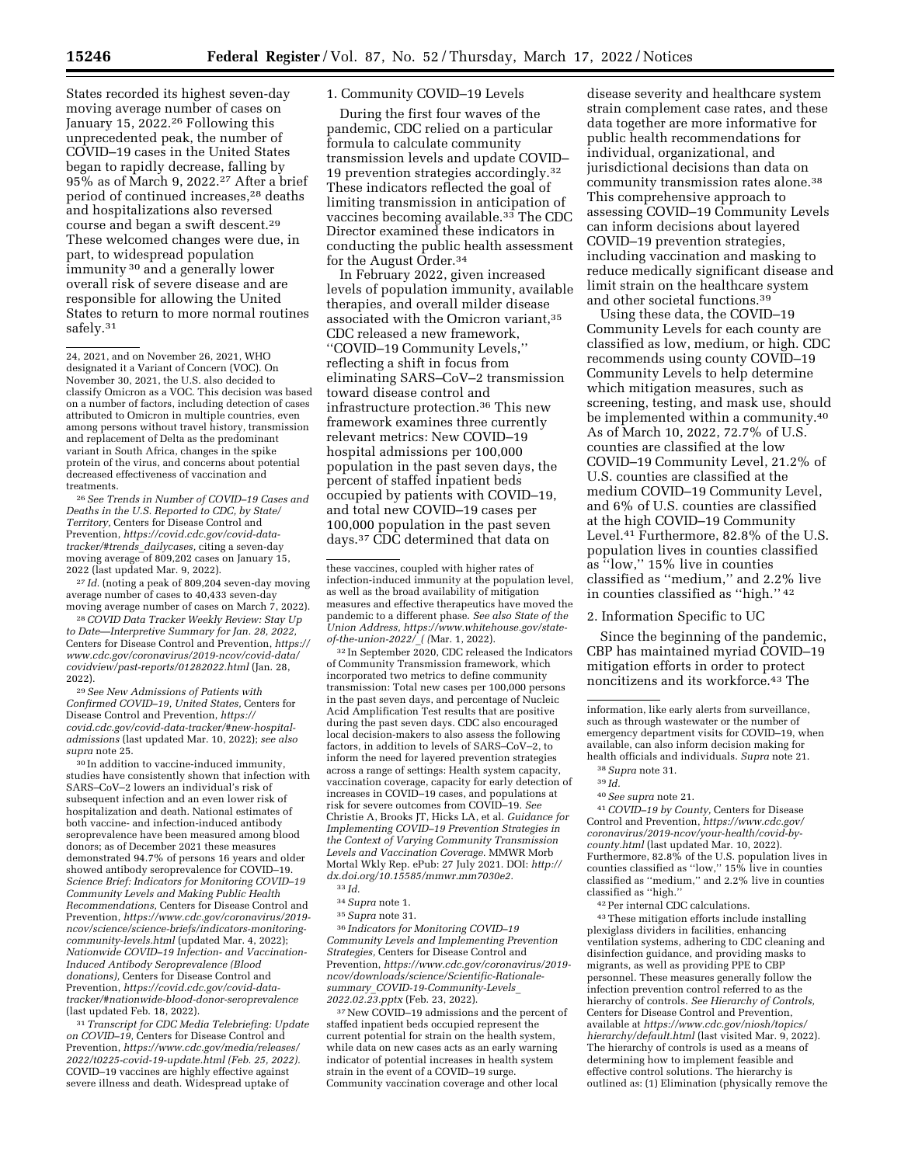States recorded its highest seven-day moving average number of cases on January 15, 2022.<sup>26</sup> Following this unprecedented peak, the number of COVID–19 cases in the United States began to rapidly decrease, falling by 95% as of March 9, 2022.27 After a brief period of continued increases,28 deaths and hospitalizations also reversed course and began a swift descent.29 These welcomed changes were due, in part, to widespread population immunity 30 and a generally lower overall risk of severe disease and are responsible for allowing the United States to return to more normal routines safely.<sup>31</sup>

26*See Trends in Number of COVID–19 Cases and Deaths in the U.S. Reported to CDC, by State/ Territory,* Centers for Disease Control and Prevention, *[https://covid.cdc.gov/covid-data](https://covid.cdc.gov/covid-data-tracker/#trends_dailycases)[tracker/#trends](https://covid.cdc.gov/covid-data-tracker/#trends_dailycases)*\_*dailycases,* citing a seven-day moving average of 809,202 cases on January 15, 2022 (last updated Mar. 9, 2022).

27 *Id.* (noting a peak of 809,204 seven-day moving average number of cases to 40,433 seven-day moving average number of cases on March  $7$ , 2022).

28*COVID Data Tracker Weekly Review: Stay Up to Date—Interpretive Summary for Jan. 28, 2022,*  Centers for Disease Control and Prevention, *[https://](https://www.cdc.gov/coronavirus/2019-ncov/covid-data/covidview/past-reports/01282022.html)  [www.cdc.gov/coronavirus/2019-ncov/covid-data/](https://www.cdc.gov/coronavirus/2019-ncov/covid-data/covidview/past-reports/01282022.html)  [covidview/past-reports/01282022.html](https://www.cdc.gov/coronavirus/2019-ncov/covid-data/covidview/past-reports/01282022.html)* (Jan. 28, 2022).

29*See New Admissions of Patients with Confirmed COVID–19, United States,* Centers for Disease Control and Prevention, *[https://](https://covid.cdc.gov/covid-data-tracker/#new-hospital-admissions) [covid.cdc.gov/covid-data-tracker/#new-hospital](https://covid.cdc.gov/covid-data-tracker/#new-hospital-admissions)[admissions](https://covid.cdc.gov/covid-data-tracker/#new-hospital-admissions)* (last updated Mar. 10, 2022); *see also supra* note 25.

30 In addition to vaccine-induced immunity, studies have consistently shown that infection with SARS–CoV–2 lowers an individual's risk of subsequent infection and an even lower risk of hospitalization and death. National estimates of both vaccine- and infection-induced antibody seroprevalence have been measured among blood donors; as of December 2021 these measures demonstrated 94.7% of persons 16 years and older showed antibody seroprevalence for COVID–19. *Science Brief: Indicators for Monitoring COVID–19 Community Levels and Making Public Health Recommendations,* Centers for Disease Control and Prevention, *[https://www.cdc.gov/coronavirus/2019](https://www.cdc.gov/coronavirus/2019-ncov/science/science-briefs/indicators-monitoring-community-levels.html) [ncov/science/science-briefs/indicators-monitoring](https://www.cdc.gov/coronavirus/2019-ncov/science/science-briefs/indicators-monitoring-community-levels.html)[community-levels.html](https://www.cdc.gov/coronavirus/2019-ncov/science/science-briefs/indicators-monitoring-community-levels.html)* (updated Mar. 4, 2022); *Nationwide COVID–19 Infection- and Vaccination-Induced Antibody Seroprevalence (Blood donations),* Centers for Disease Control and Prevention, *[https://covid.cdc.gov/covid-data](https://covid.cdc.gov/covid-data-tracker/#nationwide-blood-donor-seroprevalence)[tracker/#nationwide-blood-donor-seroprevalence](https://covid.cdc.gov/covid-data-tracker/#nationwide-blood-donor-seroprevalence)*  (last updated Feb. 18, 2022).

31*Transcript for CDC Media Telebriefing: Update on COVID–19,* Centers for Disease Control and Prevention, *[https://www.cdc.gov/media/releases/](https://www.cdc.gov/media/releases/2022/t0225-covid-19-update.html)  [2022/t0225-covid-19-update.html](https://www.cdc.gov/media/releases/2022/t0225-covid-19-update.html) (Feb. 25, 2022).*  COVID–19 vaccines are highly effective against severe illness and death. Widespread uptake of

## 1. Community COVID–19 Levels

During the first four waves of the pandemic, CDC relied on a particular formula to calculate community transmission levels and update COVID– 19 prevention strategies accordingly.32 These indicators reflected the goal of limiting transmission in anticipation of vaccines becoming available.<sup>33</sup> The CDC Director examined these indicators in conducting the public health assessment for the August Order.34

In February 2022, given increased levels of population immunity, available therapies, and overall milder disease associated with the Omicron variant,<sup>35</sup> CDC released a new framework, ''COVID–19 Community Levels,'' reflecting a shift in focus from eliminating SARS–CoV–2 transmission toward disease control and infrastructure protection.36 This new framework examines three currently relevant metrics: New COVID–19 hospital admissions per 100,000 population in the past seven days, the percent of staffed inpatient beds occupied by patients with COVID–19, and total new COVID–19 cases per 100,000 population in the past seven days.37 CDC determined that data on

32 In September 2020, CDC released the Indicators of Community Transmission framework, which incorporated two metrics to define community transmission: Total new cases per 100,000 persons in the past seven days, and percentage of Nucleic Acid Amplification Test results that are positive during the past seven days. CDC also encouraged local decision-makers to also assess the following factors, in addition to levels of SARS–CoV–2, to inform the need for layered prevention strategies across a range of settings: Health system capacity, vaccination coverage, capacity for early detection of increases in COVID–19 cases, and populations at risk for severe outcomes from COVID–19. *See*  Christie A, Brooks JT, Hicks LA, et al. *Guidance for Implementing COVID–19 Prevention Strategies in the Context of Varying Community Transmission Levels and Vaccination Coverage.* MMWR Morb Mortal Wkly Rep. ePub: 27 July 2021. DOI: *[http://](http://dx.doi.org/10.15585/mmwr.mm7030e2)  [dx.doi.org/10.15585/mmwr.mm7030e2.](http://dx.doi.org/10.15585/mmwr.mm7030e2)*  33 *Id.* 

35*Supra* note 31.

36 *Indicators for Monitoring COVID–19 Community Levels and Implementing Prevention Strategies,* Centers for Disease Control and Prevention, *[https://www.cdc.gov/coronavirus/2019](https://www.cdc.gov/coronavirus/2019-ncov/downloads/science/Scientific-Rationale-summary_COVID-19-Community-Levels_2022.02.23.pptx) [ncov/downloads/science/Scientific-Rationale](https://www.cdc.gov/coronavirus/2019-ncov/downloads/science/Scientific-Rationale-summary_COVID-19-Community-Levels_2022.02.23.pptx)summary*\_*[COVID-19-Community-Levels](https://www.cdc.gov/coronavirus/2019-ncov/downloads/science/Scientific-Rationale-summary_COVID-19-Community-Levels_2022.02.23.pptx)*\_ *[2022.02.23.pptx](https://www.cdc.gov/coronavirus/2019-ncov/downloads/science/Scientific-Rationale-summary_COVID-19-Community-Levels_2022.02.23.pptx)* (Feb. 23, 2022).

37New COVID–19 admissions and the percent of staffed inpatient beds occupied represent the current potential for strain on the health system, while data on new cases acts as an early warning indicator of potential increases in health system strain in the event of a COVID–19 surge. Community vaccination coverage and other local

disease severity and healthcare system strain complement case rates, and these data together are more informative for public health recommendations for individual, organizational, and jurisdictional decisions than data on community transmission rates alone.38 This comprehensive approach to assessing COVID–19 Community Levels can inform decisions about layered COVID–19 prevention strategies, including vaccination and masking to reduce medically significant disease and limit strain on the healthcare system and other societal functions.39

Using these data, the COVID–19 Community Levels for each county are classified as low, medium, or high. CDC recommends using county COVID–19 Community Levels to help determine which mitigation measures, such as screening, testing, and mask use, should be implemented within a community.<sup>40</sup> As of March 10, 2022, 72.7% of U.S. counties are classified at the low COVID–19 Community Level, 21.2% of U.S. counties are classified at the medium COVID–19 Community Level, and 6% of U.S. counties are classified at the high COVID–19 Community Level.41 Furthermore, 82.8% of the U.S. population lives in counties classified as ''low,'' 15% live in counties classified as ''medium,'' and 2.2% live in counties classified as ''high.'' 42

2. Information Specific to UC

Since the beginning of the pandemic, CBP has maintained myriad COVID–19 mitigation efforts in order to protect noncitizens and its workforce.43 The

40*See supra* note 21.

41*COVID–19 by County,* Centers for Disease Control and Prevention, *[https://www.cdc.gov/](https://www.cdc.gov/coronavirus/2019-ncov/your-health/covid-by-county.html) [coronavirus/2019-ncov/your-health/covid-by](https://www.cdc.gov/coronavirus/2019-ncov/your-health/covid-by-county.html)[county.html](https://www.cdc.gov/coronavirus/2019-ncov/your-health/covid-by-county.html)* (last updated Mar. 10, 2022). Furthermore, 82.8% of the U.S. population lives in counties classified as ''low,'' 15% live in counties classified as ''medium,'' and 2.2% live in counties classified as ''high.''

42Per internal CDC calculations.

43These mitigation efforts include installing plexiglass dividers in facilities, enhancing ventilation systems, adhering to CDC cleaning and disinfection guidance, and providing masks to migrants, as well as providing PPE to CBP personnel. These measures generally follow the infection prevention control referred to as the hierarchy of controls. *See Hierarchy of Controls,*  Centers for Disease Control and Prevention, available at *[https://www.cdc.gov/niosh/topics/](https://www.cdc.gov/niosh/topics/hierarchy/default.html)  [hierarchy/default.html](https://www.cdc.gov/niosh/topics/hierarchy/default.html)* (last visited Mar. 9, 2022). The hierarchy of controls is used as a means of determining how to implement feasible and effective control solutions. The hierarchy is outlined as: (1) Elimination (physically remove the

<sup>24, 2021,</sup> and on November 26, 2021, WHO designated it a Variant of Concern (VOC). On November 30, 2021, the U.S. also decided to classify Omicron as a VOC. This decision was based on a number of factors, including detection of cases attributed to Omicron in multiple countries, even among persons without travel history, transmission and replacement of Delta as the predominant variant in South Africa, changes in the spike protein of the virus, and concerns about potential decreased effectiveness of vaccination and treatments.

these vaccines, coupled with higher rates of infection-induced immunity at the population level, as well as the broad availability of mitigation measures and effective therapeutics have moved the pandemic to a different phase. *See also State of the Union Address, [https://www.whitehouse.gov/state](https://www.whitehouse.gov/state-of-the-union-2022/_)[of-the-union-2022/](https://www.whitehouse.gov/state-of-the-union-2022/_)*\_*( (*Mar. 1, 2022).

<sup>34</sup>*Supra* note 1.

information, like early alerts from surveillance, such as through wastewater or the number of emergency department visits for COVID–19, when available, can also inform decision making for health officials and individuals. *Supra* note 21.

<sup>38</sup>*Supra* note 31.

<sup>39</sup> *Id.*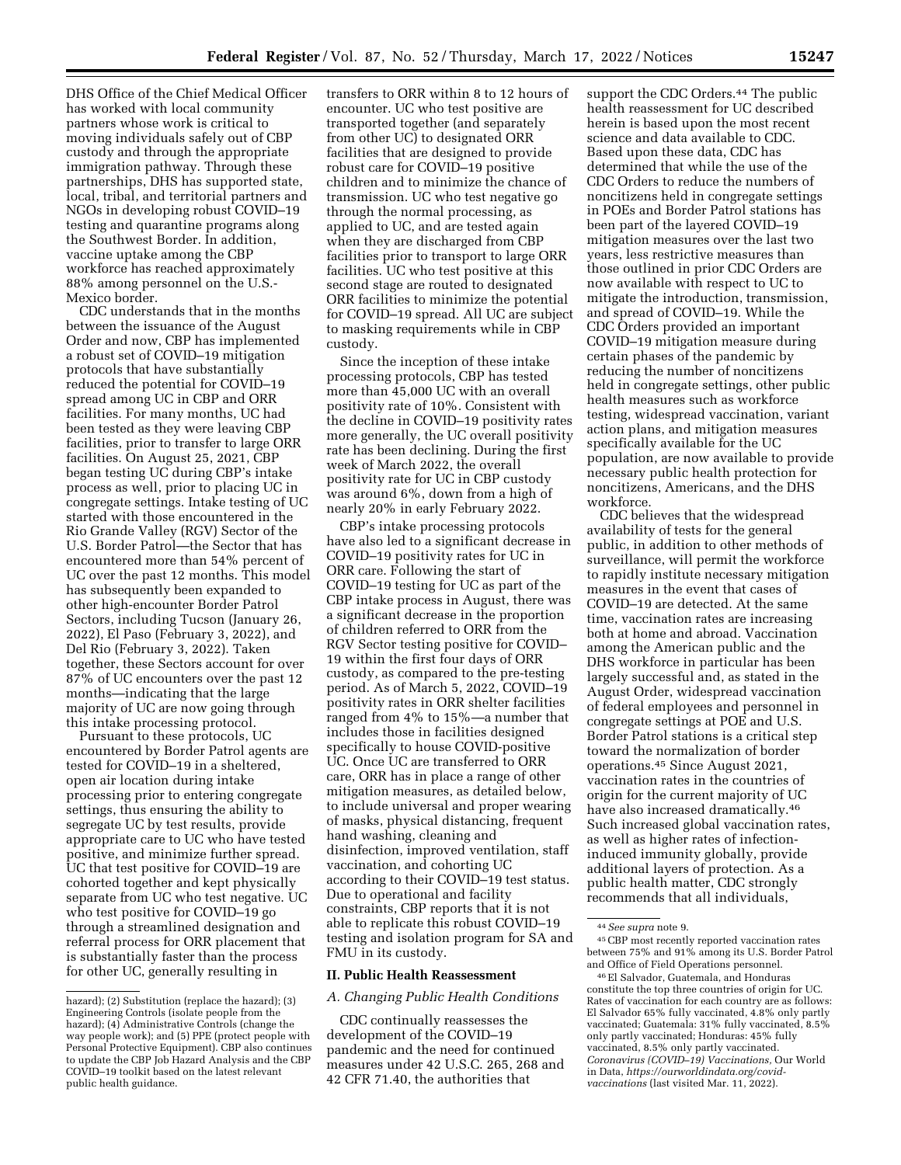DHS Office of the Chief Medical Officer has worked with local community partners whose work is critical to moving individuals safely out of CBP custody and through the appropriate immigration pathway. Through these partnerships, DHS has supported state, local, tribal, and territorial partners and NGOs in developing robust COVID–19 testing and quarantine programs along the Southwest Border. In addition, vaccine uptake among the CBP workforce has reached approximately 88% among personnel on the U.S.- Mexico border.

CDC understands that in the months between the issuance of the August Order and now, CBP has implemented a robust set of COVID–19 mitigation protocols that have substantially reduced the potential for COVID–19 spread among UC in CBP and ORR facilities. For many months, UC had been tested as they were leaving CBP facilities, prior to transfer to large ORR facilities. On August 25, 2021, CBP began testing UC during CBP's intake process as well, prior to placing UC in congregate settings. Intake testing of UC started with those encountered in the Rio Grande Valley (RGV) Sector of the U.S. Border Patrol—the Sector that has encountered more than 54% percent of UC over the past 12 months. This model has subsequently been expanded to other high-encounter Border Patrol Sectors, including Tucson (January 26, 2022), El Paso (February 3, 2022), and Del Rio (February 3, 2022). Taken together, these Sectors account for over 87% of UC encounters over the past 12 months—indicating that the large majority of UC are now going through this intake processing protocol.

Pursuant to these protocols, UC encountered by Border Patrol agents are tested for COVID–19 in a sheltered, open air location during intake processing prior to entering congregate settings, thus ensuring the ability to segregate UC by test results, provide appropriate care to UC who have tested positive, and minimize further spread. UC that test positive for COVID–19 are cohorted together and kept physically separate from UC who test negative. UC who test positive for COVID–19 go through a streamlined designation and referral process for ORR placement that is substantially faster than the process for other UC, generally resulting in

transfers to ORR within 8 to 12 hours of encounter. UC who test positive are transported together (and separately from other UC) to designated ORR facilities that are designed to provide robust care for COVID–19 positive children and to minimize the chance of transmission. UC who test negative go through the normal processing, as applied to UC, and are tested again when they are discharged from CBP facilities prior to transport to large ORR facilities. UC who test positive at this second stage are routed to designated ORR facilities to minimize the potential for COVID–19 spread. All UC are subject to masking requirements while in CBP custody.

Since the inception of these intake processing protocols, CBP has tested more than 45,000 UC with an overall positivity rate of 10%. Consistent with the decline in COVID–19 positivity rates more generally, the UC overall positivity rate has been declining. During the first week of March 2022, the overall positivity rate for UC in CBP custody was around 6%, down from a high of nearly 20% in early February 2022.

CBP's intake processing protocols have also led to a significant decrease in COVID–19 positivity rates for UC in ORR care. Following the start of COVID–19 testing for UC as part of the CBP intake process in August, there was a significant decrease in the proportion of children referred to ORR from the RGV Sector testing positive for COVID– 19 within the first four days of ORR custody, as compared to the pre-testing period. As of March 5, 2022, COVID–19 positivity rates in ORR shelter facilities ranged from 4% to 15%—a number that includes those in facilities designed specifically to house COVID-positive UC. Once UC are transferred to ORR care, ORR has in place a range of other mitigation measures, as detailed below, to include universal and proper wearing of masks, physical distancing, frequent hand washing, cleaning and disinfection, improved ventilation, staff vaccination, and cohorting UC according to their COVID–19 test status. Due to operational and facility constraints, CBP reports that it is not able to replicate this robust COVID–19 testing and isolation program for SA and FMU in its custody.

## **II. Public Health Reassessment**

## *A. Changing Public Health Conditions*

CDC continually reassesses the development of the COVID–19 pandemic and the need for continued measures under 42 U.S.C. 265, 268 and 42 CFR 71.40, the authorities that

support the CDC Orders.<sup>44</sup> The public health reassessment for UC described herein is based upon the most recent science and data available to CDC. Based upon these data, CDC has determined that while the use of the CDC Orders to reduce the numbers of noncitizens held in congregate settings in POEs and Border Patrol stations has been part of the layered COVID–19 mitigation measures over the last two years, less restrictive measures than those outlined in prior CDC Orders are now available with respect to UC to mitigate the introduction, transmission, and spread of COVID–19. While the CDC Orders provided an important COVID–19 mitigation measure during certain phases of the pandemic by reducing the number of noncitizens held in congregate settings, other public health measures such as workforce testing, widespread vaccination, variant action plans, and mitigation measures specifically available for the UC population, are now available to provide necessary public health protection for noncitizens, Americans, and the DHS workforce.

CDC believes that the widespread availability of tests for the general public, in addition to other methods of surveillance, will permit the workforce to rapidly institute necessary mitigation measures in the event that cases of COVID–19 are detected. At the same time, vaccination rates are increasing both at home and abroad. Vaccination among the American public and the DHS workforce in particular has been largely successful and, as stated in the August Order, widespread vaccination of federal employees and personnel in congregate settings at POE and U.S. Border Patrol stations is a critical step toward the normalization of border operations.45 Since August 2021, vaccination rates in the countries of origin for the current majority of UC have also increased dramatically.<sup>46</sup> Such increased global vaccination rates, as well as higher rates of infectioninduced immunity globally, provide additional layers of protection. As a public health matter, CDC strongly recommends that all individuals,

hazard); (2) Substitution (replace the hazard); (3) Engineering Controls (isolate people from the hazard); (4) Administrative Controls (change the way people work); and (5) PPE (protect people with Personal Protective Equipment). CBP also continues to update the CBP Job Hazard Analysis and the CBP COVID–19 toolkit based on the latest relevant public health guidance.

<sup>44</sup>*See supra* note 9.

<sup>45</sup>CBP most recently reported vaccination rates between 75% and 91% among its U.S. Border Patrol and Office of Field Operations personnel.

<sup>46</sup>El Salvador, Guatemala, and Honduras constitute the top three countries of origin for UC. Rates of vaccination for each country are as follows: El Salvador 65% fully vaccinated, 4.8% only partly vaccinated; Guatemala: 31% fully vaccinated, 8.5% only partly vaccinated; Honduras: 45% fully vaccinated, 8.5% only partly vaccinated. *Coronavirus (COVID–19) Vaccinations,* Our World in Data, *[https://ourworldindata.org/covid](https://ourworldindata.org/covid-vaccinations)[vaccinations](https://ourworldindata.org/covid-vaccinations)* (last visited Mar. 11, 2022).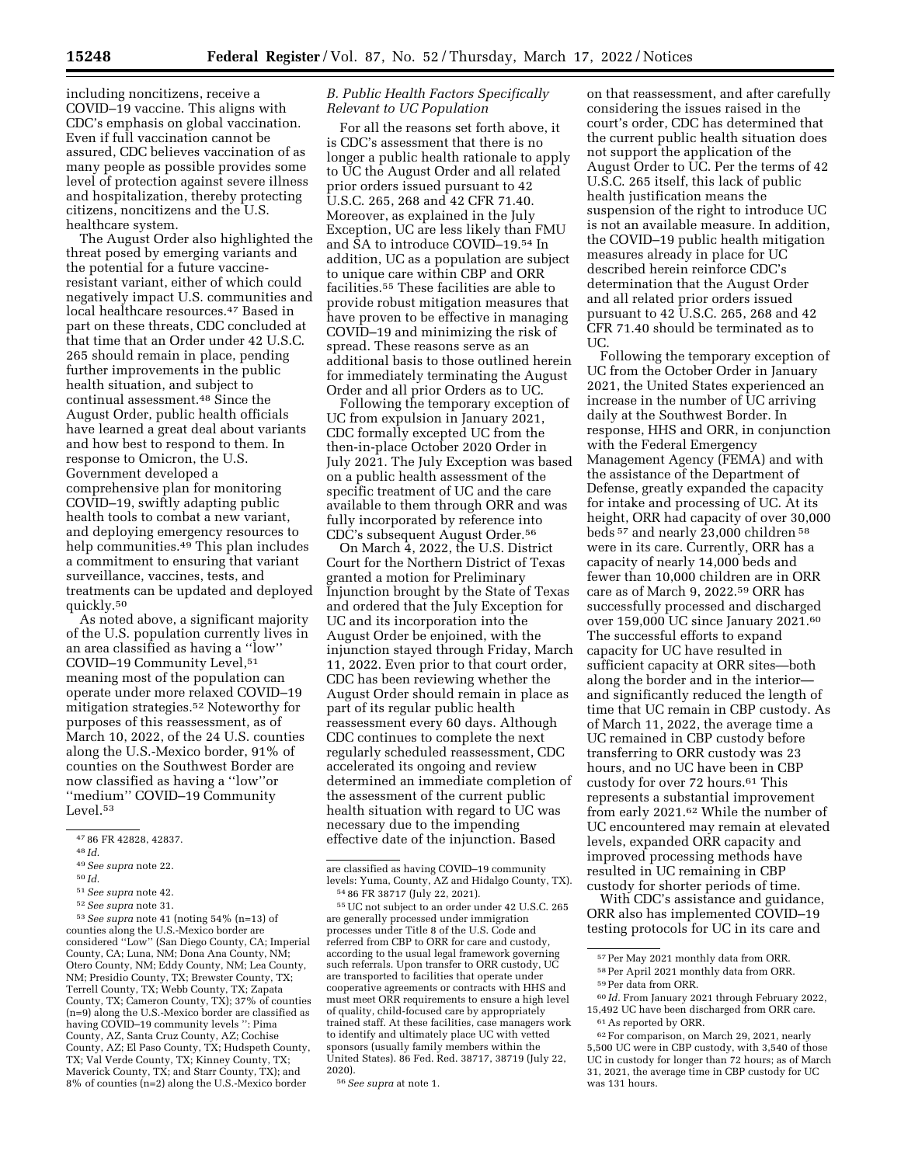including noncitizens, receive a COVID–19 vaccine. This aligns with CDC's emphasis on global vaccination. Even if full vaccination cannot be assured, CDC believes vaccination of as many people as possible provides some level of protection against severe illness and hospitalization, thereby protecting citizens, noncitizens and the U.S. healthcare system.

The August Order also highlighted the threat posed by emerging variants and the potential for a future vaccineresistant variant, either of which could negatively impact U.S. communities and local healthcare resources.47 Based in part on these threats, CDC concluded at that time that an Order under 42 U.S.C. 265 should remain in place, pending further improvements in the public health situation, and subject to continual assessment.48 Since the August Order, public health officials have learned a great deal about variants and how best to respond to them. In response to Omicron, the U.S. Government developed a comprehensive plan for monitoring COVID–19, swiftly adapting public health tools to combat a new variant, and deploying emergency resources to help communities.<sup>49</sup> This plan includes a commitment to ensuring that variant surveillance, vaccines, tests, and treatments can be updated and deployed quickly.50

As noted above, a significant majority of the U.S. population currently lives in an area classified as having a ''low'' COVID–19 Community Level,51 meaning most of the population can operate under more relaxed COVID–19 mitigation strategies.52 Noteworthy for purposes of this reassessment, as of March 10, 2022, of the 24 U.S. counties along the U.S.-Mexico border, 91% of counties on the Southwest Border are now classified as having a ''low''or ''medium'' COVID–19 Community Level.53

53*See supra* note 41 (noting 54% (n=13) of counties along the U.S.-Mexico border are considered ''Low'' (San Diego County, CA; Imperial County, CA; Luna, NM; Dona Ana County, NM; Otero County, NM; Eddy County, NM; Lea County, NM; Presidio County, TX; Brewster County, TX; Terrell County, TX; Webb County, TX; Zapata County, TX; Cameron County, TX); 37% of counties (n=9) along the U.S.-Mexico border are classified as having COVID–19 community levels '': Pima County, AZ, Santa Cruz County, AZ; Cochise County, AZ; El Paso County, TX; Hudspeth County, TX; Val Verde County, TX; Kinney County, TX; Maverick County, TX; and Starr County, TX); and 8% of counties (n=2) along the U.S.-Mexico border

# *B. Public Health Factors Specifically Relevant to UC Population*

For all the reasons set forth above, it is CDC's assessment that there is no longer a public health rationale to apply to UC the August Order and all related prior orders issued pursuant to 42 U.S.C. 265, 268 and 42 CFR 71.40. Moreover, as explained in the July Exception, UC are less likely than FMU and SA to introduce COVID–19.54 In addition, UC as a population are subject to unique care within CBP and ORR facilities.55 These facilities are able to provide robust mitigation measures that have proven to be effective in managing COVID–19 and minimizing the risk of spread. These reasons serve as an additional basis to those outlined herein for immediately terminating the August Order and all prior Orders as to UC.

Following the temporary exception of UC from expulsion in January 2021, CDC formally excepted UC from the then-in-place October 2020 Order in July 2021. The July Exception was based on a public health assessment of the specific treatment of UC and the care available to them through ORR and was fully incorporated by reference into CDC's subsequent August Order.56

On March 4, 2022, the U.S. District Court for the Northern District of Texas granted a motion for Preliminary Injunction brought by the State of Texas and ordered that the July Exception for UC and its incorporation into the August Order be enjoined, with the injunction stayed through Friday, March 11, 2022. Even prior to that court order, CDC has been reviewing whether the August Order should remain in place as part of its regular public health reassessment every 60 days. Although CDC continues to complete the next regularly scheduled reassessment, CDC accelerated its ongoing and review determined an immediate completion of the assessment of the current public health situation with regard to UC was necessary due to the impending effective date of the injunction. Based

55UC not subject to an order under 42 U.S.C. 265 are generally processed under immigration processes under Title 8 of the U.S. Code and referred from CBP to ORR for care and custody, according to the usual legal framework governing such referrals. Upon transfer to ORR custody, UC are transported to facilities that operate under cooperative agreements or contracts with HHS and must meet ORR requirements to ensure a high level of quality, child-focused care by appropriately trained staff. At these facilities, case managers work to identify and ultimately place UC with vetted sponsors (usually family members within the United States). 86 Fed. Red. 38717, 38719 (July 22, 2020).

on that reassessment, and after carefully considering the issues raised in the court's order, CDC has determined that the current public health situation does not support the application of the August Order to UC. Per the terms of 42 U.S.C. 265 itself, this lack of public health justification means the suspension of the right to introduce UC is not an available measure. In addition, the COVID–19 public health mitigation measures already in place for UC described herein reinforce CDC's determination that the August Order and all related prior orders issued pursuant to 42 U.S.C. 265, 268 and 42 CFR 71.40 should be terminated as to UC.

Following the temporary exception of UC from the October Order in January 2021, the United States experienced an increase in the number of UC arriving daily at the Southwest Border. In response, HHS and ORR, in conjunction with the Federal Emergency Management Agency (FEMA) and with the assistance of the Department of Defense, greatly expanded the capacity for intake and processing of UC. At its height, ORR had capacity of over 30,000 beds 57 and nearly 23,000 children 58 were in its care. Currently, ORR has a capacity of nearly 14,000 beds and fewer than 10,000 children are in ORR care as of March 9, 2022.59 ORR has successfully processed and discharged over 159,000 UC since January 2021.60 The successful efforts to expand capacity for UC have resulted in sufficient capacity at ORR sites—both along the border and in the interior and significantly reduced the length of time that UC remain in CBP custody. As of March 11, 2022, the average time a UC remained in CBP custody before transferring to ORR custody was 23 hours, and no UC have been in CBP custody for over 72 hours.61 This represents a substantial improvement from early 2021.62 While the number of UC encountered may remain at elevated levels, expanded ORR capacity and improved processing methods have resulted in UC remaining in CBP custody for shorter periods of time.

With CDC's assistance and guidance, ORR also has implemented COVID–19 testing protocols for UC in its care and

<sup>47</sup> 86 FR 42828, 42837.

<sup>48</sup> *Id.* 

<sup>49</sup>*See supra* note 22.

<sup>50</sup> *Id.* 

<sup>51</sup>*See supra* note 42.

<sup>52</sup>*See supra* note 31.

are classified as having COVID–19 community levels: Yuma, County, AZ and Hidalgo County, TX). 54 86 FR 38717 (July 22, 2021).

<sup>56</sup>*See supra* at note 1.

<sup>57</sup>Per May 2021 monthly data from ORR.

<sup>58</sup>Per April 2021 monthly data from ORR.

<sup>59</sup>Per data from ORR.

<sup>60</sup> *Id.* From January 2021 through February 2022, 15,492 UC have been discharged from ORR care. 61As reported by ORR.

<sup>62</sup>For comparison, on March 29, 2021, nearly 5,500 UC were in CBP custody, with 3,540 of those UC in custody for longer than 72 hours; as of March 31, 2021, the average time in CBP custody for UC was 131 hours.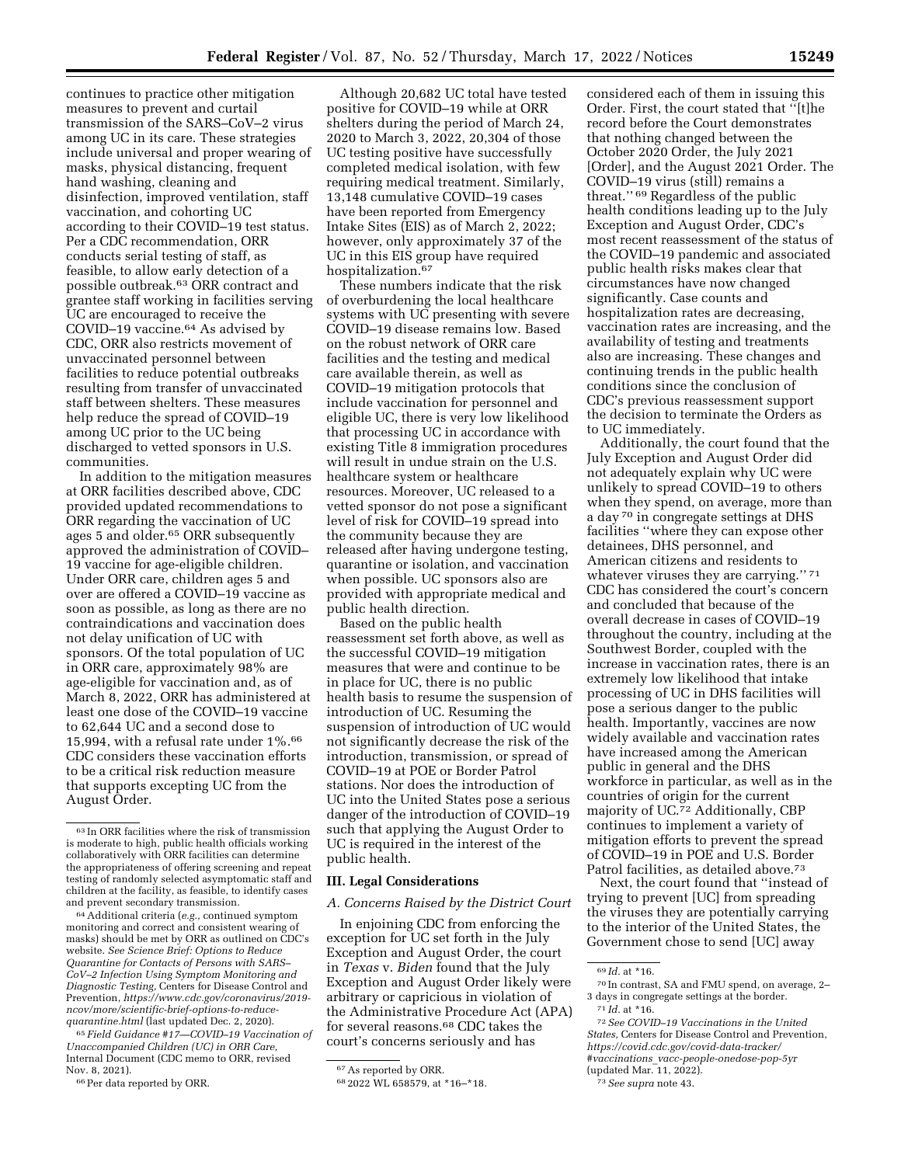continues to practice other mitigation measures to prevent and curtail transmission of the SARS–CoV–2 virus among UC in its care. These strategies include universal and proper wearing of masks, physical distancing, frequent hand washing, cleaning and disinfection, improved ventilation, staff vaccination, and cohorting UC according to their COVID–19 test status. Per a CDC recommendation, ORR conducts serial testing of staff, as feasible, to allow early detection of a possible outbreak.63 ORR contract and grantee staff working in facilities serving UC are encouraged to receive the COVID–19 vaccine.64 As advised by CDC, ORR also restricts movement of unvaccinated personnel between facilities to reduce potential outbreaks resulting from transfer of unvaccinated staff between shelters. These measures help reduce the spread of COVID–19 among UC prior to the UC being discharged to vetted sponsors in U.S. communities.

In addition to the mitigation measures at ORR facilities described above, CDC provided updated recommendations to ORR regarding the vaccination of UC ages 5 and older.<sup>65</sup> ORR subsequently approved the administration of COVID– 19 vaccine for age-eligible children. Under ORR care, children ages 5 and over are offered a COVID–19 vaccine as soon as possible, as long as there are no contraindications and vaccination does not delay unification of UC with sponsors. Of the total population of UC in ORR care, approximately 98% are age-eligible for vaccination and, as of March 8, 2022, ORR has administered at least one dose of the COVID–19 vaccine to 62,644 UC and a second dose to 15,994, with a refusal rate under 1%.66 CDC considers these vaccination efforts to be a critical risk reduction measure that supports excepting UC from the August Order.

64Additional criteria (*e.g.,* continued symptom monitoring and correct and consistent wearing of masks) should be met by ORR as outlined on CDC's website. *See Science Brief: Options to Reduce Quarantine for Contacts of Persons with SARS– CoV–2 Infection Using Symptom Monitoring and Diagnostic Testing,* Centers for Disease Control and Prevention, *[https://www.cdc.gov/coronavirus/2019](https://www.cdc.gov/coronavirus/2019-ncov/more/scientific-brief-options-to-reduce-quarantine.html) [ncov/more/scientific-brief-options-to-reduce](https://www.cdc.gov/coronavirus/2019-ncov/more/scientific-brief-options-to-reduce-quarantine.html)[quarantine.html](https://www.cdc.gov/coronavirus/2019-ncov/more/scientific-brief-options-to-reduce-quarantine.html)* (last updated Dec. 2, 2020).

65 *Field Guidance #17—COVID–19 Vaccination of Unaccompanied Children (UC) in ORR Care,*  Internal Document (CDC memo to ORR, revised Nov. 8, 2021).

66Per data reported by ORR.

Although 20,682 UC total have tested positive for COVID–19 while at ORR shelters during the period of March 24, 2020 to March 3, 2022, 20,304 of those UC testing positive have successfully completed medical isolation, with few requiring medical treatment. Similarly, 13,148 cumulative COVID–19 cases have been reported from Emergency Intake Sites (EIS) as of March 2, 2022; however, only approximately 37 of the UC in this EIS group have required hospitalization.67

These numbers indicate that the risk of overburdening the local healthcare systems with UC presenting with severe COVID–19 disease remains low. Based on the robust network of ORR care facilities and the testing and medical care available therein, as well as COVID–19 mitigation protocols that include vaccination for personnel and eligible UC, there is very low likelihood that processing UC in accordance with existing Title 8 immigration procedures will result in undue strain on the U.S. healthcare system or healthcare resources. Moreover, UC released to a vetted sponsor do not pose a significant level of risk for COVID–19 spread into the community because they are released after having undergone testing, quarantine or isolation, and vaccination when possible. UC sponsors also are provided with appropriate medical and public health direction.

Based on the public health reassessment set forth above, as well as the successful COVID–19 mitigation measures that were and continue to be in place for UC, there is no public health basis to resume the suspension of introduction of UC. Resuming the suspension of introduction of UC would not significantly decrease the risk of the introduction, transmission, or spread of COVID–19 at POE or Border Patrol stations. Nor does the introduction of UC into the United States pose a serious danger of the introduction of COVID–19 such that applying the August Order to UC is required in the interest of the public health.

### **III. Legal Considerations**

### *A. Concerns Raised by the District Court*

In enjoining CDC from enforcing the exception for UC set forth in the July Exception and August Order, the court in *Texas* v. *Biden* found that the July Exception and August Order likely were arbitrary or capricious in violation of the Administrative Procedure Act (APA) for several reasons.68 CDC takes the court's concerns seriously and has

considered each of them in issuing this Order. First, the court stated that ''[t]he record before the Court demonstrates that nothing changed between the October 2020 Order, the July 2021 [Order], and the August 2021 Order. The COVID–19 virus (still) remains a threat.'' 69 Regardless of the public health conditions leading up to the July Exception and August Order, CDC's most recent reassessment of the status of the COVID–19 pandemic and associated public health risks makes clear that circumstances have now changed significantly. Case counts and hospitalization rates are decreasing, vaccination rates are increasing, and the availability of testing and treatments also are increasing. These changes and continuing trends in the public health conditions since the conclusion of CDC's previous reassessment support the decision to terminate the Orders as to UC immediately.

Additionally, the court found that the July Exception and August Order did not adequately explain why UC were unlikely to spread COVID–19 to others when they spend, on average, more than a day 70 in congregate settings at DHS facilities ''where they can expose other detainees, DHS personnel, and American citizens and residents to whatever viruses they are carrying.'' 71 CDC has considered the court's concern and concluded that because of the overall decrease in cases of COVID–19 throughout the country, including at the Southwest Border, coupled with the increase in vaccination rates, there is an extremely low likelihood that intake processing of UC in DHS facilities will pose a serious danger to the public health. Importantly, vaccines are now widely available and vaccination rates have increased among the American public in general and the DHS workforce in particular, as well as in the countries of origin for the current majority of UC.72 Additionally, CBP continues to implement a variety of mitigation efforts to prevent the spread of COVID–19 in POE and U.S. Border Patrol facilities, as detailed above.73

Next, the court found that ''instead of trying to prevent [UC] from spreading the viruses they are potentially carrying to the interior of the United States, the Government chose to send [UC] away

<sup>63</sup> In ORR facilities where the risk of transmission is moderate to high, public health officials working collaboratively with ORR facilities can determine the appropriateness of offering screening and repeat testing of randomly selected asymptomatic staff and children at the facility, as feasible, to identify cases and prevent secondary transmission.

<sup>67</sup>As reported by ORR.

<sup>68</sup> 2022 WL 658579, at \*16–\*18.

<sup>69</sup> *Id.* at \*16.

<sup>70</sup> In contrast, SA and FMU spend, on average, 2– 3 days in congregate settings at the border. 71 *Id.* at \*16.

<sup>72</sup>*See COVID–19 Vaccinations in the United States,* Centers for Disease Control and Prevention, *[https://covid.cdc.gov/covid-data-tracker/](https://covid.cdc.gov/covid-data-tracker/#vaccinations_vacc-people-onedose-pop-5yr) #vaccinations*\_*[vacc-people-onedose-pop-5yr](https://covid.cdc.gov/covid-data-tracker/#vaccinations_vacc-people-onedose-pop-5yr)*  (updated Mar. 11, 2022).

<sup>73</sup>*See supra* note 43.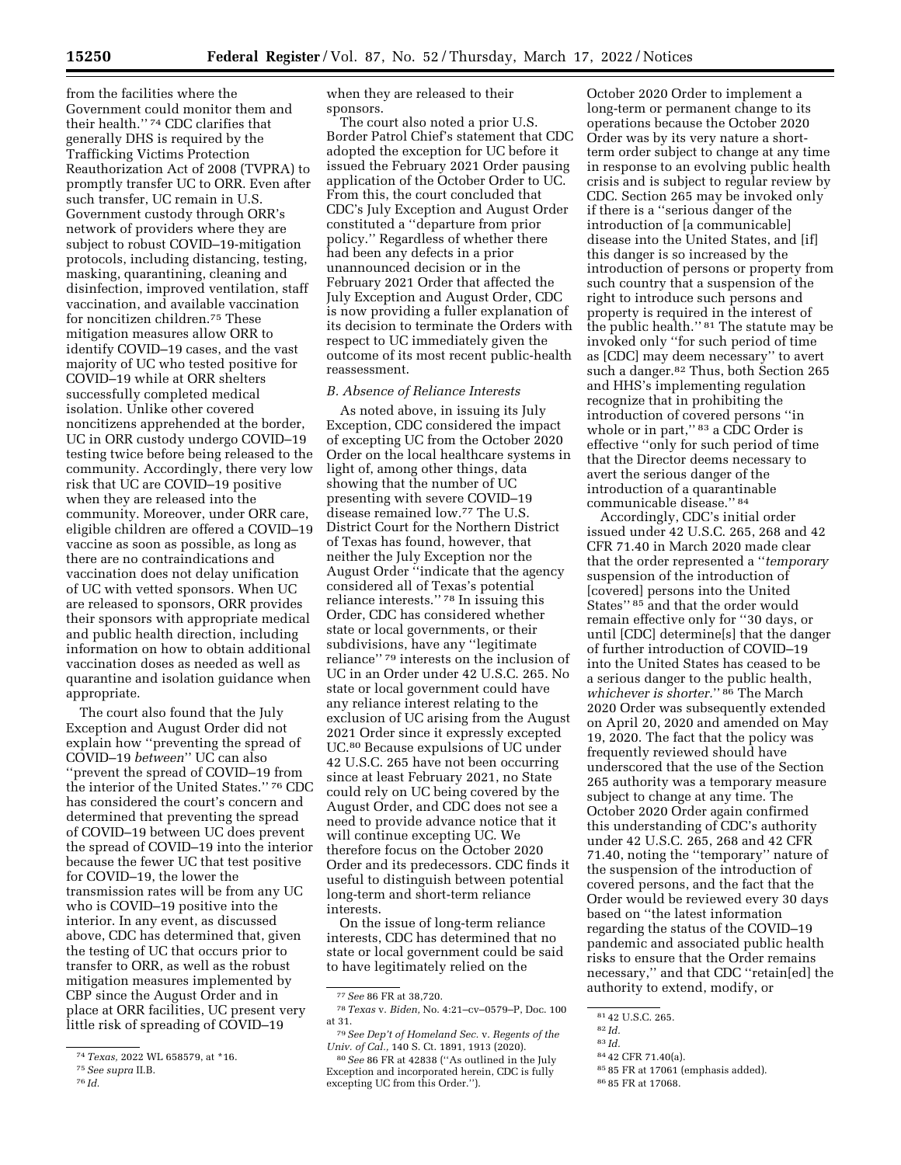from the facilities where the Government could monitor them and their health.'' 74 CDC clarifies that generally DHS is required by the Trafficking Victims Protection Reauthorization Act of 2008 (TVPRA) to promptly transfer UC to ORR. Even after such transfer, UC remain in U.S. Government custody through ORR's network of providers where they are subject to robust COVID–19-mitigation protocols, including distancing, testing, masking, quarantining, cleaning and disinfection, improved ventilation, staff vaccination, and available vaccination for noncitizen children.75 These mitigation measures allow ORR to identify COVID–19 cases, and the vast majority of UC who tested positive for COVID–19 while at ORR shelters successfully completed medical isolation. Unlike other covered noncitizens apprehended at the border, UC in ORR custody undergo COVID–19 testing twice before being released to the community. Accordingly, there very low risk that UC are COVID–19 positive when they are released into the community. Moreover, under ORR care, eligible children are offered a COVID–19 vaccine as soon as possible, as long as there are no contraindications and vaccination does not delay unification of UC with vetted sponsors. When UC are released to sponsors, ORR provides their sponsors with appropriate medical and public health direction, including information on how to obtain additional vaccination doses as needed as well as quarantine and isolation guidance when appropriate.

The court also found that the July Exception and August Order did not explain how ''preventing the spread of COVID–19 *between*'' UC can also ''prevent the spread of COVID–19 from the interior of the United States.'' 76 CDC has considered the court's concern and determined that preventing the spread of COVID–19 between UC does prevent the spread of COVID–19 into the interior because the fewer UC that test positive for COVID–19, the lower the transmission rates will be from any UC who is COVID–19 positive into the interior. In any event, as discussed above, CDC has determined that, given the testing of UC that occurs prior to transfer to ORR, as well as the robust mitigation measures implemented by CBP since the August Order and in place at ORR facilities, UC present very little risk of spreading of COVID-19

when they are released to their sponsors.

The court also noted a prior U.S. Border Patrol Chief's statement that CDC adopted the exception for UC before it issued the February 2021 Order pausing application of the October Order to UC. From this, the court concluded that CDC's July Exception and August Order constituted a ''departure from prior policy.'' Regardless of whether there had been any defects in a prior unannounced decision or in the February 2021 Order that affected the July Exception and August Order, CDC is now providing a fuller explanation of its decision to terminate the Orders with respect to UC immediately given the outcome of its most recent public-health reassessment.

## *B. Absence of Reliance Interests*

As noted above, in issuing its July Exception, CDC considered the impact of excepting UC from the October 2020 Order on the local healthcare systems in light of, among other things, data showing that the number of UC presenting with severe COVID–19 disease remained low.77 The U.S. District Court for the Northern District of Texas has found, however, that neither the July Exception nor the August Order ''indicate that the agency considered all of Texas's potential reliance interests.'' 78 In issuing this Order, CDC has considered whether state or local governments, or their subdivisions, have any ''legitimate reliance'' 79 interests on the inclusion of UC in an Order under 42 U.S.C. 265. No state or local government could have any reliance interest relating to the exclusion of UC arising from the August 2021 Order since it expressly excepted UC.80 Because expulsions of UC under 42 U.S.C. 265 have not been occurring since at least February 2021, no State could rely on UC being covered by the August Order, and CDC does not see a need to provide advance notice that it will continue excepting UC. We therefore focus on the October 2020 Order and its predecessors. CDC finds it useful to distinguish between potential long-term and short-term reliance interests.

On the issue of long-term reliance interests, CDC has determined that no state or local government could be said to have legitimately relied on the

79*See Dep't of Homeland Sec.* v. *Regents of the Univ. of Cal.,* 140 S. Ct. 1891, 1913 (2020).

October 2020 Order to implement a long-term or permanent change to its operations because the October 2020 Order was by its very nature a shortterm order subject to change at any time in response to an evolving public health crisis and is subject to regular review by CDC. Section 265 may be invoked only if there is a ''serious danger of the introduction of [a communicable] disease into the United States, and [if] this danger is so increased by the introduction of persons or property from such country that a suspension of the right to introduce such persons and property is required in the interest of the public health.'' 81 The statute may be invoked only ''for such period of time as [CDC] may deem necessary'' to avert such a danger.<sup>82</sup> Thus, both Section 265 and HHS's implementing regulation recognize that in prohibiting the introduction of covered persons ''in whole or in part,"<sup>83</sup> a CDC Order is effective ''only for such period of time that the Director deems necessary to avert the serious danger of the introduction of a quarantinable communicable disease.'' 84

Accordingly, CDC's initial order issued under 42 U.S.C. 265, 268 and 42 CFR 71.40 in March 2020 made clear that the order represented a ''*temporary*  suspension of the introduction of [covered] persons into the United States'' 85 and that the order would remain effective only for ''30 days, or until [CDC] determine[s] that the danger of further introduction of COVID–19 into the United States has ceased to be a serious danger to the public health, *whichever is shorter.*'' 86 The March 2020 Order was subsequently extended on April 20, 2020 and amended on May 19, 2020. The fact that the policy was frequently reviewed should have underscored that the use of the Section 265 authority was a temporary measure subject to change at any time. The October 2020 Order again confirmed this understanding of CDC's authority under 42 U.S.C. 265, 268 and 42 CFR 71.40, noting the ''temporary'' nature of the suspension of the introduction of covered persons, and the fact that the Order would be reviewed every 30 days based on ''the latest information regarding the status of the COVID–19 pandemic and associated public health risks to ensure that the Order remains necessary,'' and that CDC ''retain[ed] the authority to extend, modify, or

83 *Id.* 

85 85 FR at 17061 (emphasis added).

86 85 FR at 17068.

<sup>74</sup>*Texas,* 2022 WL 658579, at \*16.

<sup>75</sup>*See supra* II.B.

<sup>76</sup> *Id.* 

<sup>77</sup>*See* 86 FR at 38,720.

<sup>78</sup>*Texas* v. *Biden,* No. 4:21–cv–0579–P, Doc. 100 at 31.

<sup>80</sup>*See* 86 FR at 42838 (''As outlined in the July Exception and incorporated herein, CDC is fully excepting UC from this Order.'').

<sup>81</sup> 42 U.S.C. 265.

<sup>82</sup> *Id.* 

<sup>84</sup> 42 CFR 71.40(a).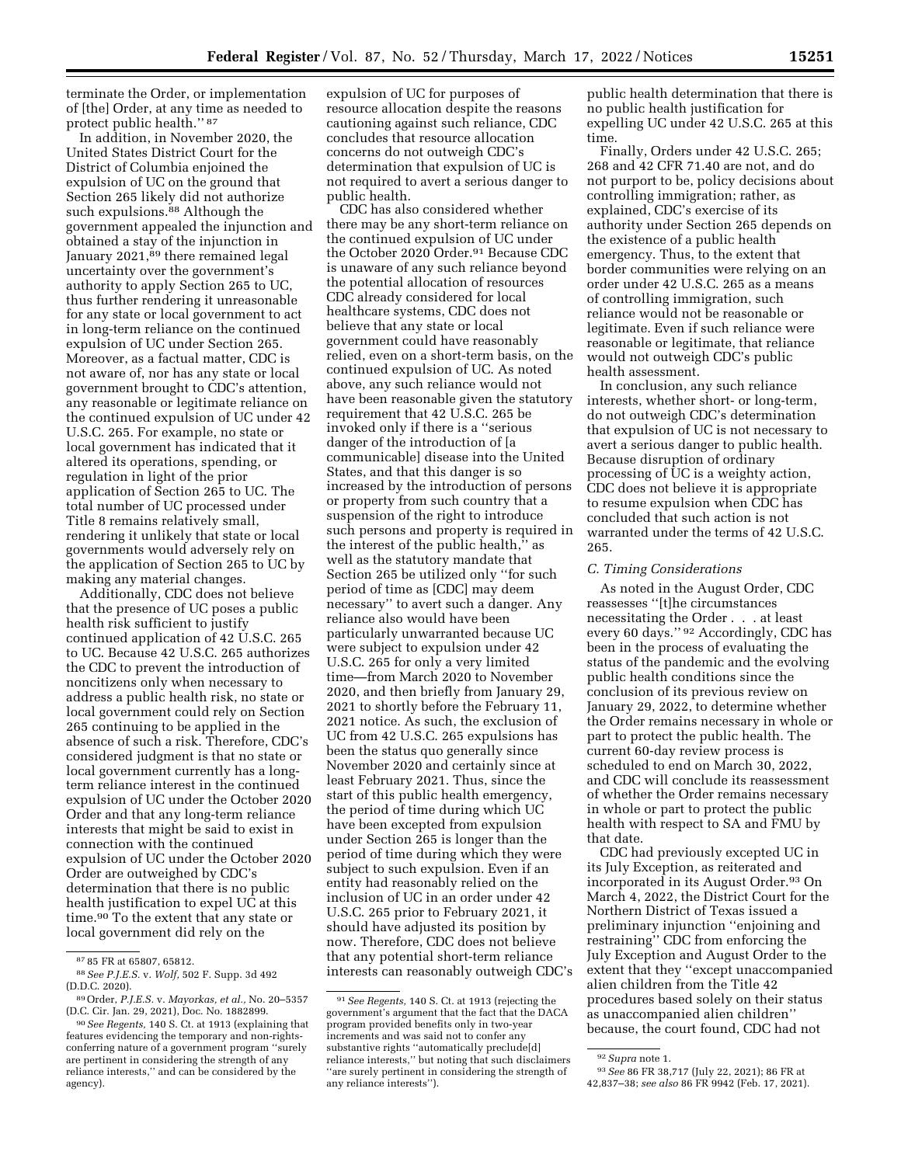terminate the Order, or implementation of [the] Order, at any time as needed to protect public health.'' 87

In addition, in November 2020, the United States District Court for the District of Columbia enjoined the expulsion of UC on the ground that Section 265 likely did not authorize such expulsions.<sup>88</sup> Although the government appealed the injunction and obtained a stay of the injunction in January 2021,<sup>89</sup> there remained legal uncertainty over the government's authority to apply Section 265 to UC, thus further rendering it unreasonable for any state or local government to act in long-term reliance on the continued expulsion of UC under Section 265. Moreover, as a factual matter, CDC is not aware of, nor has any state or local government brought to CDC's attention, any reasonable or legitimate reliance on the continued expulsion of UC under 42 U.S.C. 265. For example, no state or local government has indicated that it altered its operations, spending, or regulation in light of the prior application of Section 265 to UC. The total number of UC processed under Title 8 remains relatively small, rendering it unlikely that state or local governments would adversely rely on the application of Section 265 to UC by making any material changes.

Additionally, CDC does not believe that the presence of UC poses a public health risk sufficient to justify continued application of 42 U.S.C. 265 to UC. Because 42 U.S.C. 265 authorizes the CDC to prevent the introduction of noncitizens only when necessary to address a public health risk, no state or local government could rely on Section 265 continuing to be applied in the absence of such a risk. Therefore, CDC's considered judgment is that no state or local government currently has a longterm reliance interest in the continued expulsion of UC under the October 2020 Order and that any long-term reliance interests that might be said to exist in connection with the continued expulsion of UC under the October 2020 Order are outweighed by CDC's determination that there is no public health justification to expel UC at this time.90 To the extent that any state or local government did rely on the

expulsion of UC for purposes of resource allocation despite the reasons cautioning against such reliance, CDC concludes that resource allocation concerns do not outweigh CDC's determination that expulsion of UC is not required to avert a serious danger to public health.

CDC has also considered whether there may be any short-term reliance on the continued expulsion of UC under the October 2020 Order.91 Because CDC is unaware of any such reliance beyond the potential allocation of resources CDC already considered for local healthcare systems, CDC does not believe that any state or local government could have reasonably relied, even on a short-term basis, on the continued expulsion of UC. As noted above, any such reliance would not have been reasonable given the statutory requirement that 42 U.S.C. 265 be invoked only if there is a ''serious danger of the introduction of [a communicable] disease into the United States, and that this danger is so increased by the introduction of persons or property from such country that a suspension of the right to introduce such persons and property is required in the interest of the public health,'' as well as the statutory mandate that Section 265 be utilized only ''for such period of time as [CDC] may deem necessary'' to avert such a danger. Any reliance also would have been particularly unwarranted because UC were subject to expulsion under 42 U.S.C. 265 for only a very limited time—from March 2020 to November 2020, and then briefly from January 29, 2021 to shortly before the February 11, 2021 notice. As such, the exclusion of UC from 42 U.S.C. 265 expulsions has been the status quo generally since November 2020 and certainly since at least February 2021. Thus, since the start of this public health emergency, the period of time during which UC have been excepted from expulsion under Section 265 is longer than the period of time during which they were subject to such expulsion. Even if an entity had reasonably relied on the inclusion of UC in an order under 42 U.S.C. 265 prior to February 2021, it should have adjusted its position by now. Therefore, CDC does not believe that any potential short-term reliance interests can reasonably outweigh CDC's

public health determination that there is no public health justification for expelling UC under 42 U.S.C. 265 at this time.

Finally, Orders under 42 U.S.C. 265; 268 and 42 CFR 71.40 are not, and do not purport to be, policy decisions about controlling immigration; rather, as explained, CDC's exercise of its authority under Section 265 depends on the existence of a public health emergency. Thus, to the extent that border communities were relying on an order under 42 U.S.C. 265 as a means of controlling immigration, such reliance would not be reasonable or legitimate. Even if such reliance were reasonable or legitimate, that reliance would not outweigh CDC's public health assessment.

In conclusion, any such reliance interests, whether short- or long-term, do not outweigh CDC's determination that expulsion of UC is not necessary to avert a serious danger to public health. Because disruption of ordinary processing of UC is a weighty action, CDC does not believe it is appropriate to resume expulsion when CDC has concluded that such action is not warranted under the terms of 42 U.S.C. 265.

### *C. Timing Considerations*

As noted in the August Order, CDC reassesses ''[t]he circumstances necessitating the Order . . . at least every 60 days.'' 92 Accordingly, CDC has been in the process of evaluating the status of the pandemic and the evolving public health conditions since the conclusion of its previous review on January 29, 2022, to determine whether the Order remains necessary in whole or part to protect the public health. The current 60-day review process is scheduled to end on March 30, 2022, and CDC will conclude its reassessment of whether the Order remains necessary in whole or part to protect the public health with respect to SA and FMU by that date.

CDC had previously excepted UC in its July Exception, as reiterated and incorporated in its August Order.93 On March 4, 2022, the District Court for the Northern District of Texas issued a preliminary injunction ''enjoining and restraining'' CDC from enforcing the July Exception and August Order to the extent that they ''except unaccompanied alien children from the Title 42 procedures based solely on their status as unaccompanied alien children'' because, the court found, CDC had not

<sup>87</sup> 85 FR at 65807, 65812.

<sup>88</sup>*See P.J.E.S.* v. *Wolf,* 502 F. Supp. 3d 492 (D.D.C. 2020).

<sup>89</sup>Order, *P.J.E.S.* v. *Mayorkas, et al.,* No. 20–5357 (D.C. Cir. Jan. 29, 2021), Doc. No. 1882899.

<sup>90</sup>*See Regents,* 140 S. Ct. at 1913 (explaining that features evidencing the temporary and non-rightsconferring nature of a government program ''surely are pertinent in considering the strength of any reliance interests,'' and can be considered by the agency).

<sup>91</sup>*See Regents,* 140 S. Ct. at 1913 (rejecting the government's argument that the fact that the DACA program provided benefits only in two-year increments and was said not to confer any substantive rights ''automatically preclude[d] reliance interests,'' but noting that such disclaimers ''are surely pertinent in considering the strength of any reliance interests'').

<sup>92</sup>*Supra* note 1.

<sup>93</sup>*See* 86 FR 38,717 (July 22, 2021); 86 FR at 42,837–38; *see also* 86 FR 9942 (Feb. 17, 2021).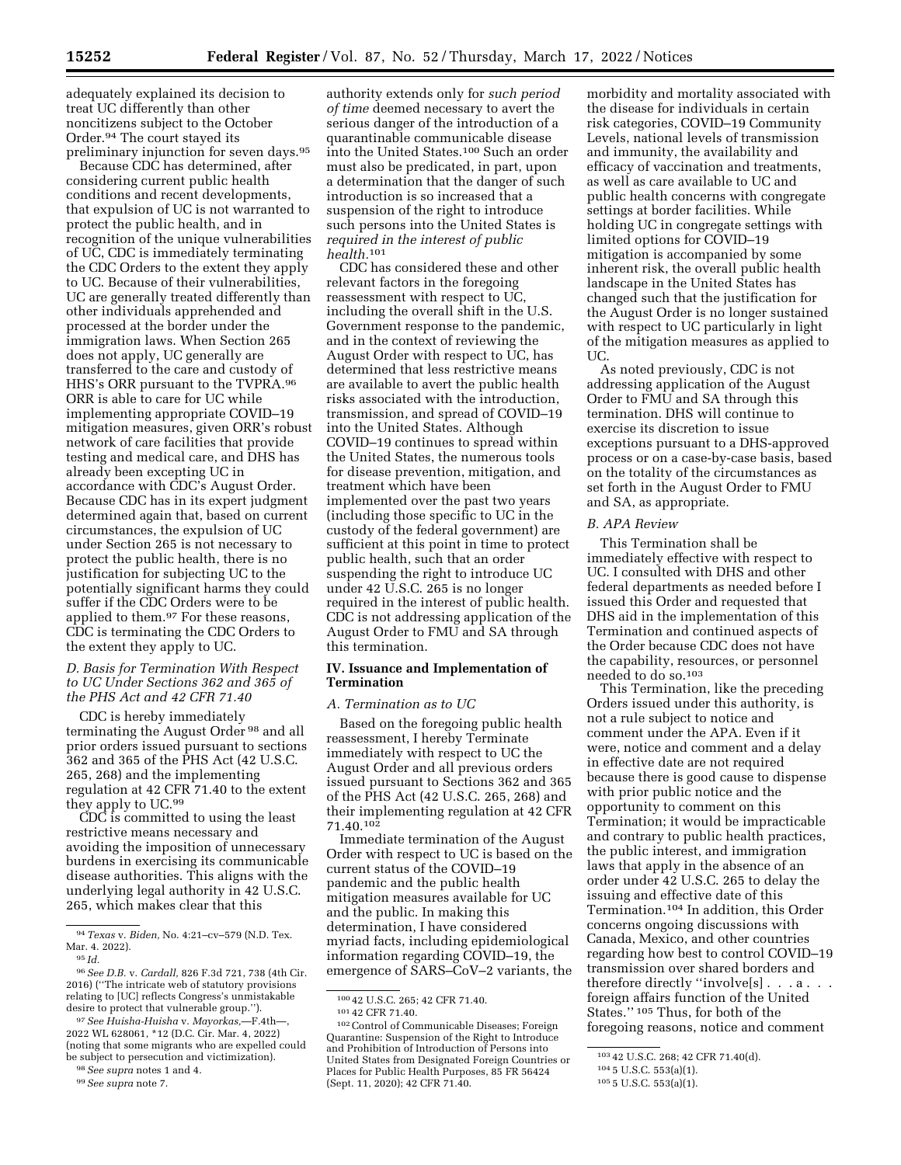adequately explained its decision to treat UC differently than other noncitizens subject to the October Order.94 The court stayed its preliminary injunction for seven days.95

Because CDC has determined, after considering current public health conditions and recent developments, that expulsion of UC is not warranted to protect the public health, and in recognition of the unique vulnerabilities of UC, CDC is immediately terminating the CDC Orders to the extent they apply to UC. Because of their vulnerabilities, UC are generally treated differently than other individuals apprehended and processed at the border under the immigration laws. When Section 265 does not apply, UC generally are transferred to the care and custody of HHS's ORR pursuant to the TVPRA.96 ORR is able to care for UC while implementing appropriate COVID–19 mitigation measures, given ORR's robust network of care facilities that provide testing and medical care, and DHS has already been excepting UC in accordance with CDC's August Order. Because CDC has in its expert judgment determined again that, based on current circumstances, the expulsion of UC under Section 265 is not necessary to protect the public health, there is no justification for subjecting UC to the potentially significant harms they could suffer if the CDC Orders were to be applied to them.97 For these reasons, CDC is terminating the CDC Orders to the extent they apply to UC.

# *D. Basis for Termination With Respect to UC Under Sections 362 and 365 of the PHS Act and 42 CFR 71.40*

CDC is hereby immediately terminating the August Order 98 and all prior orders issued pursuant to sections 362 and 365 of the PHS Act (42 U.S.C. 265, 268) and the implementing regulation at 42 CFR 71.40 to the extent they apply to UC.99

CDC is committed to using the least restrictive means necessary and avoiding the imposition of unnecessary burdens in exercising its communicable disease authorities. This aligns with the underlying legal authority in 42 U.S.C. 265, which makes clear that this

96*See D.B.* v. *Cardall,* 826 F.3d 721, 738 (4th Cir. 2016) (''The intricate web of statutory provisions relating to [UC] reflects Congress's unmistakable desire to protect that vulnerable group.'').

97*See Huisha-Huisha* v. *Mayorkas,*—F.4th—, 2022 WL 628061, \*12 (D.C. Cir. Mar. 4, 2022) (noting that some migrants who are expelled could be subject to persecution and victimization).

authority extends only for *such period of time* deemed necessary to avert the serious danger of the introduction of a quarantinable communicable disease into the United States.100 Such an order must also be predicated, in part, upon a determination that the danger of such introduction is so increased that a suspension of the right to introduce such persons into the United States is *required in the interest of public health.*101

CDC has considered these and other relevant factors in the foregoing reassessment with respect to UC, including the overall shift in the U.S. Government response to the pandemic, and in the context of reviewing the August Order with respect to UC, has determined that less restrictive means are available to avert the public health risks associated with the introduction, transmission, and spread of COVID–19 into the United States. Although COVID–19 continues to spread within the United States, the numerous tools for disease prevention, mitigation, and treatment which have been implemented over the past two years (including those specific to UC in the custody of the federal government) are sufficient at this point in time to protect public health, such that an order suspending the right to introduce UC under 42 U.S.C. 265 is no longer required in the interest of public health. CDC is not addressing application of the August Order to FMU and SA through this termination.

# **IV. Issuance and Implementation of Termination**

### *A. Termination as to UC*

Based on the foregoing public health reassessment, I hereby Terminate immediately with respect to UC the August Order and all previous orders issued pursuant to Sections 362 and 365 of the PHS Act (42 U.S.C. 265, 268) and their implementing regulation at 42 CFR 71.40.102

Immediate termination of the August Order with respect to UC is based on the current status of the COVID–19 pandemic and the public health mitigation measures available for UC and the public. In making this determination, I have considered myriad facts, including epidemiological information regarding COVID–19, the emergence of SARS–CoV–2 variants, the

100 42 U.S.C. 265; 42 CFR 71.40.<br>
101 42 CFR 71.40.<br>
102 Control of Communicable Diseases; Foreign Quarantine: Suspension of the Right to Introduce and Prohibition of Introduction of Persons into United States from Designated Foreign Countries or Places for Public Health Purposes, 85 FR 56424 (Sept. 11, 2020); 42 CFR 71.40.

morbidity and mortality associated with the disease for individuals in certain risk categories, COVID–19 Community Levels, national levels of transmission and immunity, the availability and efficacy of vaccination and treatments, as well as care available to UC and public health concerns with congregate settings at border facilities. While holding UC in congregate settings with limited options for COVID–19 mitigation is accompanied by some inherent risk, the overall public health landscape in the United States has changed such that the justification for the August Order is no longer sustained with respect to UC particularly in light of the mitigation measures as applied to UC.

As noted previously, CDC is not addressing application of the August Order to FMU and SA through this termination. DHS will continue to exercise its discretion to issue exceptions pursuant to a DHS-approved process or on a case-by-case basis, based on the totality of the circumstances as set forth in the August Order to FMU and SA, as appropriate.

### *B. APA Review*

This Termination shall be immediately effective with respect to UC. I consulted with DHS and other federal departments as needed before I issued this Order and requested that DHS aid in the implementation of this Termination and continued aspects of the Order because CDC does not have the capability, resources, or personnel needed to do so.103

This Termination, like the preceding Orders issued under this authority, is not a rule subject to notice and comment under the APA. Even if it were, notice and comment and a delay in effective date are not required because there is good cause to dispense with prior public notice and the opportunity to comment on this Termination; it would be impracticable and contrary to public health practices, the public interest, and immigration laws that apply in the absence of an order under 42 U.S.C. 265 to delay the issuing and effective date of this Termination.104 In addition, this Order concerns ongoing discussions with Canada, Mexico, and other countries regarding how best to control COVID–19 transmission over shared borders and therefore directly ''involve[s] . . . a . . . foreign affairs function of the United States.'' 105 Thus, for both of the foregoing reasons, notice and comment

<sup>94</sup>*Texas* v. *Biden,* No. 4:21–cv–579 (N.D. Tex. Mar. 4. 2022).

<sup>95</sup> *Id.* 

<sup>98</sup>*See supra* notes 1 and 4.

<sup>99</sup>*See supra* note 7.

<sup>103</sup> 42 U.S.C. 268; 42 CFR 71.40(d).

<sup>104</sup> 5 U.S.C. 553(a)(1).

<sup>105</sup> 5 U.S.C. 553(a)(1).